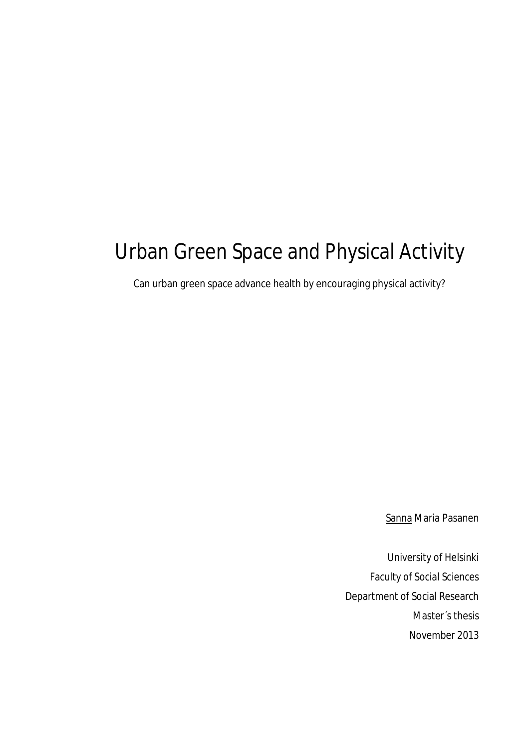# Urban Green Space and Physical Activity

Can urban green space advance health by encouraging physical activity?

Sanna Maria Pasanen

University of Helsinki Faculty of Social Sciences Department of Social Research Master´s thesis November 2013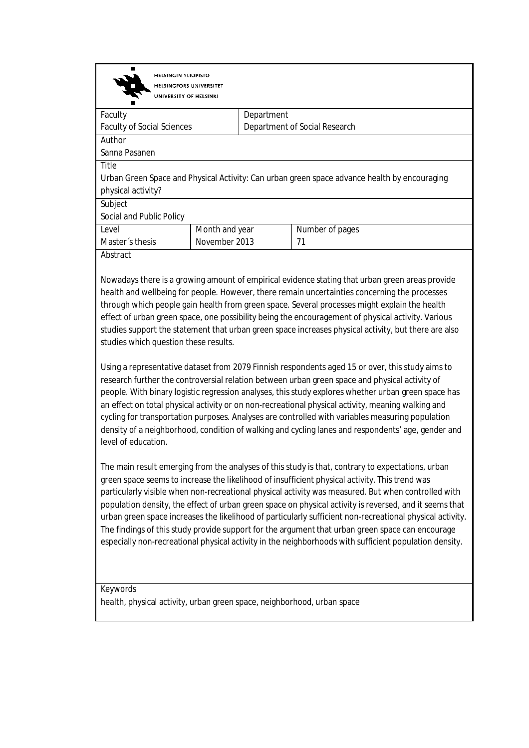**HELSINGIN YLIOPISTO HELSINGFORS UNIVERSITET** UNIVERSITY OF HELSINKI Faculty Department Faculty of Social Sciences Department of Social Research Author Sanna Pasanen Title Urban Green Space and Physical Activity: Can urban green space advance health by encouraging physical activity? Subject Social and Public Policy Level Month and year Number of pages Master´s thesis November 2013 71

**Abstract** 

Nowadays there is a growing amount of empirical evidence stating that urban green areas provide health and wellbeing for people. However, there remain uncertainties concerning the processes through which people gain health from green space. Several processes might explain the health effect of urban green space, one possibility being the encouragement of physical activity. Various studies support the statement that urban green space increases physical activity, but there are also studies which question these results.

Using a representative dataset from 2079 Finnish respondents aged 15 or over, this study aims to research further the controversial relation between urban green space and physical activity of people. With binary logistic regression analyses, this study explores whether urban green space has an effect on total physical activity or on non-recreational physical activity, meaning walking and cycling for transportation purposes. Analyses are controlled with variables measuring population density of a neighborhood, condition of walking and cycling lanes and respondents' age, gender and level of education.

The main result emerging from the analyses of this study is that, contrary to expectations, urban green space seems to increase the likelihood of insufficient physical activity. This trend was particularly visible when non-recreational physical activity was measured. But when controlled with population density, the effect of urban green space on physical activity is reversed, and it seems that urban green space increases the likelihood of particularly sufficient non-recreational physical activity. The findings of this study provide support for the argument that urban green space can encourage especially non-recreational physical activity in the neighborhoods with sufficient population density.

**Keywords** health, physical activity, urban green space, neighborhood, urban space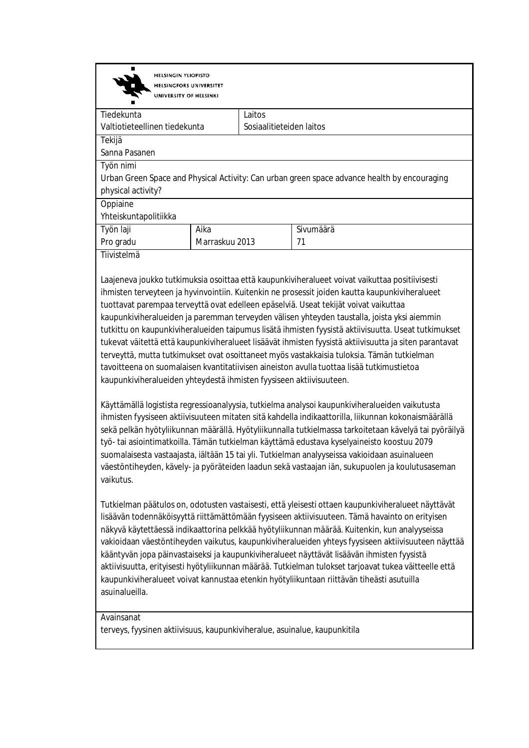| ш<br><b>HELSINGIN YLIOPISTO</b><br><b>HELSINGFORS UNIVERSITET</b><br>UNIVERSITY OF HELSINKI  |  |                          |  |  |
|----------------------------------------------------------------------------------------------|--|--------------------------|--|--|
| Laitos<br>Tiedekunta                                                                         |  |                          |  |  |
| Valtiotieteellinen tiedekunta                                                                |  | Sosiaalitieteiden laitos |  |  |
| Tekijä                                                                                       |  |                          |  |  |
| Sanna Pasanen                                                                                |  |                          |  |  |
| Työn nimi                                                                                    |  |                          |  |  |
| Urban Green Space and Physical Activity: Can urban green space advance health by encouraging |  |                          |  |  |
| physical activity?                                                                           |  |                          |  |  |
| Oppiaine                                                                                     |  |                          |  |  |
| Yhteiskuntapolitiikka                                                                        |  |                          |  |  |
| Aika<br>Työn laji                                                                            |  | Sivumäärä                |  |  |
| Marraskuu 2013<br>Pro gradu                                                                  |  | 71                       |  |  |

Tiivistelmä

Laajeneva joukko tutkimuksia osoittaa että kaupunkiviheralueet voivat vaikuttaa positiivisesti ihmisten terveyteen ja hyvinvointiin. Kuitenkin ne prosessit joiden kautta kaupunkiviheralueet tuottavat parempaa terveyttä ovat edelleen epäselviä. Useat tekijät voivat vaikuttaa kaupunkiviheralueiden ja paremman terveyden välisen yhteyden taustalla, joista yksi aiemmin tutkittu on kaupunkiviheralueiden taipumus lisätä ihmisten fyysistä aktiivisuutta. Useat tutkimukset tukevat väitettä että kaupunkiviheralueet lisäävät ihmisten fyysistä aktiivisuutta ja siten parantavat terveyttä, mutta tutkimukset ovat osoittaneet myös vastakkaisia tuloksia. Tämän tutkielman tavoitteena on suomalaisen kvantitatiivisen aineiston avulla tuottaa lisää tutkimustietoa kaupunkiviheralueiden yhteydestä ihmisten fyysiseen aktiivisuuteen.

Käyttämällä logistista regressioanalyysia, tutkielma analysoi kaupunkiviheralueiden vaikutusta ihmisten fyysiseen aktiivisuuteen mitaten sitä kahdella indikaattorilla, liikunnan kokonaismäärällä sekä pelkän hyötyliikunnan määrällä. Hyötyliikunnalla tutkielmassa tarkoitetaan kävelyä tai pyöräilyä työ- tai asiointimatkoilla. Tämän tutkielman käyttämä edustava kyselyaineisto koostuu 2079 suomalaisesta vastaajasta, iältään 15 tai yli. Tutkielman analyyseissa vakioidaan asuinalueen väestöntiheyden, kävely- ja pyöräteiden laadun sekä vastaajan iän, sukupuolen ja koulutusaseman vaikutus.

Tutkielman päätulos on, odotusten vastaisesti, että yleisesti ottaen kaupunkiviheralueet näyttävät lisäävän todennäköisyyttä riittämättömään fyysiseen aktiivisuuteen. Tämä havainto on erityisen näkyvä käytettäessä indikaattorina pelkkää hyötyliikunnan määrää. Kuitenkin, kun analyyseissa vakioidaan väestöntiheyden vaikutus, kaupunkiviheralueiden yhteys fyysiseen aktiivisuuteen näyttää kääntyvän jopa päinvastaiseksi ja kaupunkiviheralueet näyttävät lisäävän ihmisten fyysistä aktiivisuutta, erityisesti hyötyliikunnan määrää. Tutkielman tulokset tarjoavat tukea väitteelle että kaupunkiviheralueet voivat kannustaa etenkin hyötyliikuntaan riittävän tiheästi asutuilla asuinalueilla.

#### Avainsanat

terveys, fyysinen aktiivisuus, kaupunkiviheralue, asuinalue, kaupunkitila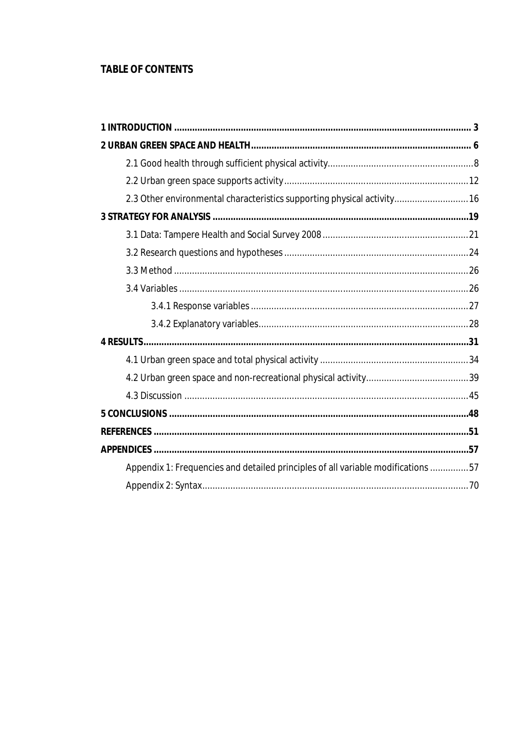# **TABLE OF CONTENTS**

| 2.3 Other environmental characteristics supporting physical activity 16          |  |
|----------------------------------------------------------------------------------|--|
|                                                                                  |  |
|                                                                                  |  |
|                                                                                  |  |
|                                                                                  |  |
|                                                                                  |  |
|                                                                                  |  |
|                                                                                  |  |
|                                                                                  |  |
|                                                                                  |  |
|                                                                                  |  |
|                                                                                  |  |
|                                                                                  |  |
|                                                                                  |  |
|                                                                                  |  |
| Appendix 1: Frequencies and detailed principles of all variable modifications 57 |  |
|                                                                                  |  |
|                                                                                  |  |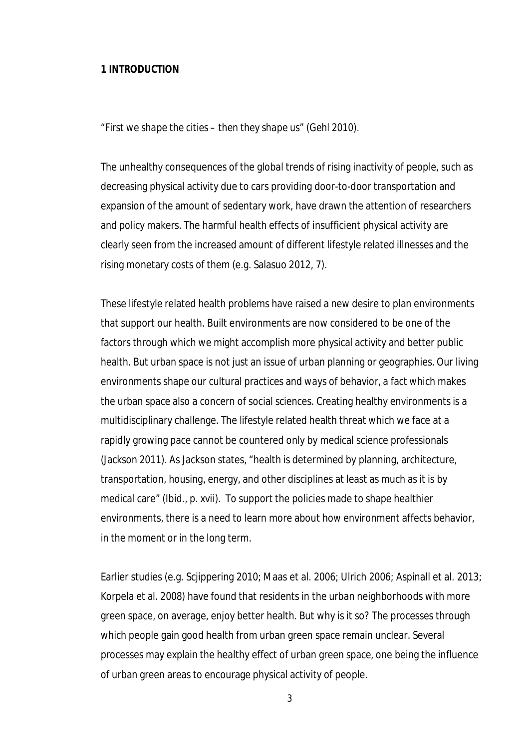## **1 INTRODUCTION**

#### *"First we shape the cities – then they shape us" (Gehl 2010).*

The unhealthy consequences of the global trends of rising inactivity of people, such as decreasing physical activity due to cars providing door-to-door transportation and expansion of the amount of sedentary work, have drawn the attention of researchers and policy makers. The harmful health effects of insufficient physical activity are clearly seen from the increased amount of different lifestyle related illnesses and the rising monetary costs of them (e.g. Salasuo 2012, 7).

These lifestyle related health problems have raised a new desire to plan environments that support our health. Built environments are now considered to be one of the factors through which we might accomplish more physical activity and better public health. But urban space is not just an issue of urban planning or geographies. Our living environments shape our cultural practices and ways of behavior, a fact which makes the urban space also a concern of social sciences. Creating healthy environments is a multidisciplinary challenge. The lifestyle related health threat which we face at a rapidly growing pace cannot be countered only by medical science professionals (Jackson 2011). As Jackson states, "health is determined by planning, architecture, transportation, housing, energy, and other disciplines at least as much as it is by medical care" (Ibid., p. xvii). To support the policies made to shape healthier environments, there is a need to learn more about how environment affects behavior, in the moment or in the long term.

Earlier studies (e.g. Scjippering 2010; Maas et al. 2006; Ulrich 2006; Aspinall et al. 2013; Korpela et al. 2008) have found that residents in the urban neighborhoods with more green space, on average, enjoy better health. But why is it so? The processes through which people gain good health from urban green space remain unclear. Several processes may explain the healthy effect of urban green space, one being the influence of urban green areas to encourage physical activity of people.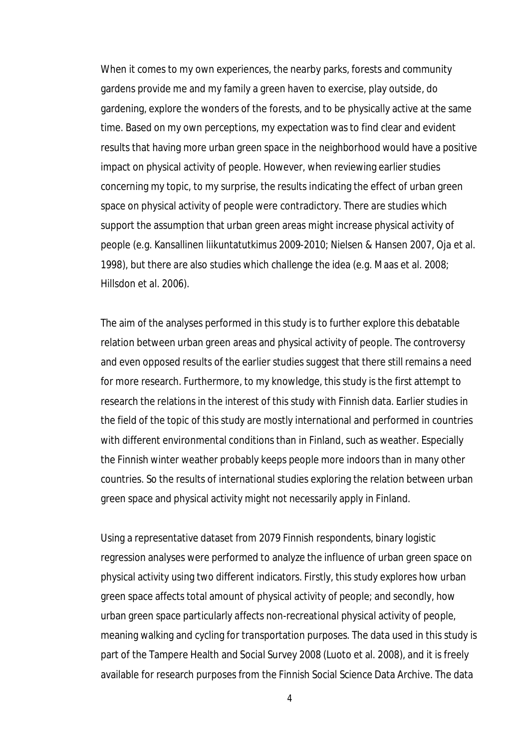When it comes to my own experiences, the nearby parks, forests and community gardens provide me and my family a green haven to exercise, play outside, do gardening, explore the wonders of the forests, and to be physically active at the same time. Based on my own perceptions, my expectation was to find clear and evident results that having more urban green space in the neighborhood would have a positive impact on physical activity of people. However, when reviewing earlier studies concerning my topic, to my surprise, the results indicating the effect of urban green space on physical activity of people were contradictory. There are studies which support the assumption that urban green areas might increase physical activity of people (e.g. Kansallinen liikuntatutkimus 2009-2010; Nielsen & Hansen 2007, Oja et al. 1998), but there are also studies which challenge the idea (e.g. Maas et al. 2008; Hillsdon et al. 2006).

The aim of the analyses performed in this study is to further explore this debatable relation between urban green areas and physical activity of people. The controversy and even opposed results of the earlier studies suggest that there still remains a need for more research. Furthermore, to my knowledge, this study is the first attempt to research the relations in the interest of this study with Finnish data. Earlier studies in the field of the topic of this study are mostly international and performed in countries with different environmental conditions than in Finland, such as weather. Especially the Finnish winter weather probably keeps people more indoors than in many other countries. So the results of international studies exploring the relation between urban green space and physical activity might not necessarily apply in Finland.

Using a representative dataset from 2079 Finnish respondents, binary logistic regression analyses were performed to analyze the influence of urban green space on physical activity using two different indicators. Firstly, this study explores how urban green space affects total amount of physical activity of people; and secondly, how urban green space particularly affects non-recreational physical activity of people, meaning walking and cycling for transportation purposes. The data used in this study is part of the Tampere Health and Social Survey 2008 (Luoto et al. 2008), and it is freely available for research purposes from the Finnish Social Science Data Archive. The data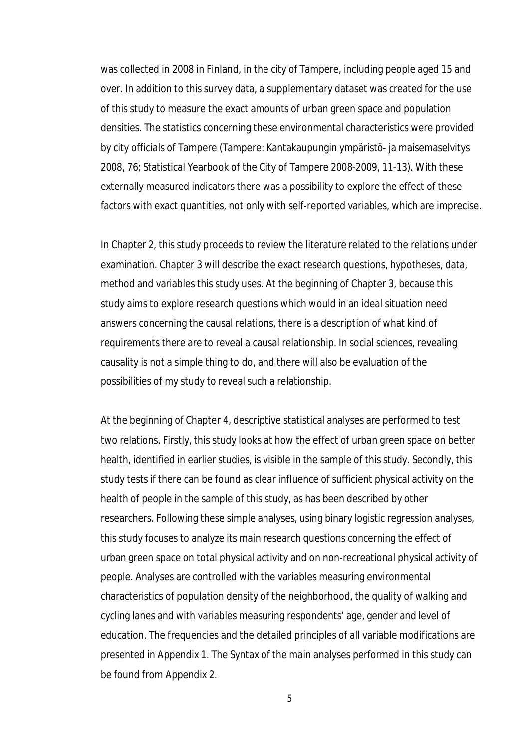was collected in 2008 in Finland, in the city of Tampere, including people aged 15 and over. In addition to this survey data, a supplementary dataset was created for the use of this study to measure the exact amounts of urban green space and population densities. The statistics concerning these environmental characteristics were provided by city officials of Tampere (Tampere: Kantakaupungin ympäristö- ja maisemaselvitys 2008, 76; Statistical Yearbook of the City of Tampere 2008-2009, 11-13). With these externally measured indicators there was a possibility to explore the effect of these factors with exact quantities, not only with self-reported variables, which are imprecise.

In Chapter 2, this study proceeds to review the literature related to the relations under examination. Chapter 3 will describe the exact research questions, hypotheses, data, method and variables this study uses. At the beginning of Chapter 3, because this study aims to explore research questions which would in an ideal situation need answers concerning the causal relations, there is a description of what kind of requirements there are to reveal a causal relationship. In social sciences, revealing causality is not a simple thing to do, and there will also be evaluation of the possibilities of my study to reveal such a relationship.

At the beginning of Chapter 4, descriptive statistical analyses are performed to test two relations. Firstly, this study looks at how the effect of urban green space on better health, identified in earlier studies, is visible in the sample of this study. Secondly, this study tests if there can be found as clear influence of sufficient physical activity on the health of people in the sample of this study, as has been described by other researchers. Following these simple analyses, using binary logistic regression analyses, this study focuses to analyze its main research questions concerning the effect of urban green space on total physical activity and on non-recreational physical activity of people. Analyses are controlled with the variables measuring environmental characteristics of population density of the neighborhood, the quality of walking and cycling lanes and with variables measuring respondents' age, gender and level of education. The frequencies and the detailed principles of all variable modifications are presented in Appendix 1. The Syntax of the main analyses performed in this study can be found from Appendix 2.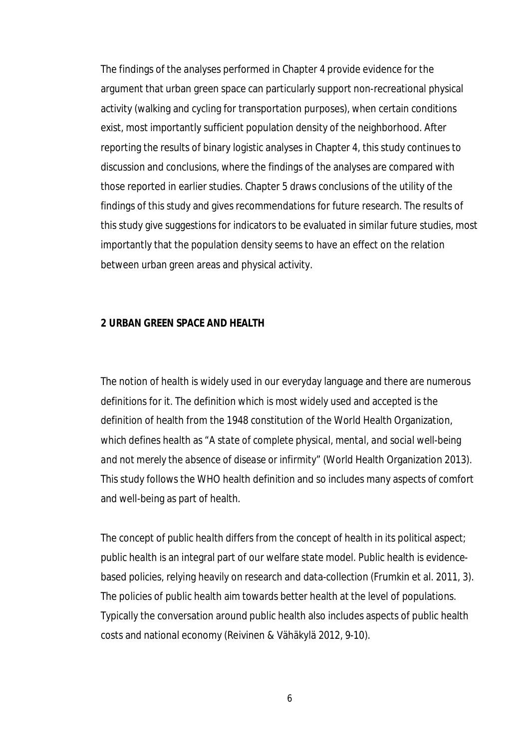The findings of the analyses performed in Chapter 4 provide evidence for the argument that urban green space can particularly support non-recreational physical activity (walking and cycling for transportation purposes), when certain conditions exist, most importantly sufficient population density of the neighborhood. After reporting the results of binary logistic analyses in Chapter 4, this study continues to discussion and conclusions, where the findings of the analyses are compared with those reported in earlier studies. Chapter 5 draws conclusions of the utility of the findings of this study and gives recommendations for future research. The results of this study give suggestions for indicators to be evaluated in similar future studies, most importantly that the population density seems to have an effect on the relation between urban green areas and physical activity.

## **2 URBAN GREEN SPACE AND HEALTH**

The notion of *health* is widely used in our everyday language and there are numerous definitions for it. The definition which is most widely used and accepted is the definition of health from the 1948 constitution of the World Health Organization, which defines health as *"A state of complete physical, mental, and social well-being and not merely the absence of disease or infirmity"* (World Health Organization 2013). This study follows the WHO health definition and so includes many aspects of comfort and well-being as part of health.

The concept of *public health* differs from the concept of health in its political aspect; public health is an integral part of our welfare state model. Public health is evidencebased policies, relying heavily on research and data-collection (Frumkin et al. 2011, 3). The policies of public health aim towards better health at the level of populations. Typically the conversation around public health also includes aspects of public health costs and national economy (Reivinen & Vähäkylä 2012, 9-10).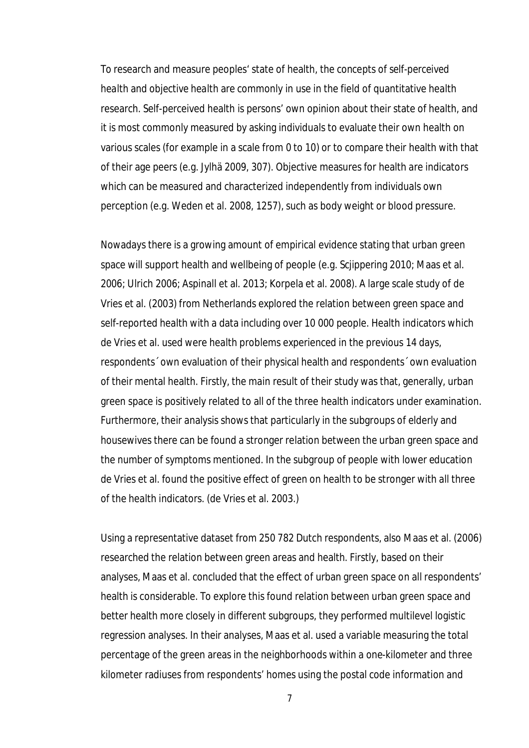To research and measure peoples' state of health, the concepts of *self-perceived health* and *objective health* are commonly in use in the field of quantitative health research. Self-perceived health is persons' own opinion about their state of health, and it is most commonly measured by asking individuals to evaluate their own health on various scales (for example in a scale from 0 to 10) or to compare their health with that of their age peers (e.g. Jylhä 2009, 307). Objective measures for health are indicators which can be measured and characterized independently from individuals own perception (e.g. Weden et al. 2008, 1257), such as body weight or blood pressure.

Nowadays there is a growing amount of empirical evidence stating that urban green space will support health and wellbeing of people (e.g. Scjippering 2010; Maas et al. 2006; Ulrich 2006; Aspinall et al. 2013; Korpela et al. 2008). A large scale study of de Vries et al. (2003) from Netherlands explored the relation between green space and self-reported health with a data including over 10 000 people. Health indicators which de Vries et al. used were health problems experienced in the previous 14 days, respondents´ own evaluation of their physical health and respondents´ own evaluation of their mental health. Firstly, the main result of their study was that, generally, urban green space is positively related to all of the three health indicators under examination. Furthermore, their analysis shows that particularly in the subgroups of elderly and housewives there can be found a stronger relation between the urban green space and the number of symptoms mentioned. In the subgroup of people with lower education de Vries et al. found the positive effect of green on health to be stronger with all three of the health indicators. (de Vries et al. 2003.)

Using a representative dataset from 250 782 Dutch respondents, also Maas et al. (2006) researched the relation between green areas and health. Firstly, based on their analyses, Maas et al. concluded that the effect of urban green space on all respondents' health is considerable. To explore this found relation between urban green space and better health more closely in different subgroups, they performed multilevel logistic regression analyses. In their analyses, Maas et al. used a variable measuring the total percentage of the green areas in the neighborhoods within a one-kilometer and three kilometer radiuses from respondents' homes using the postal code information and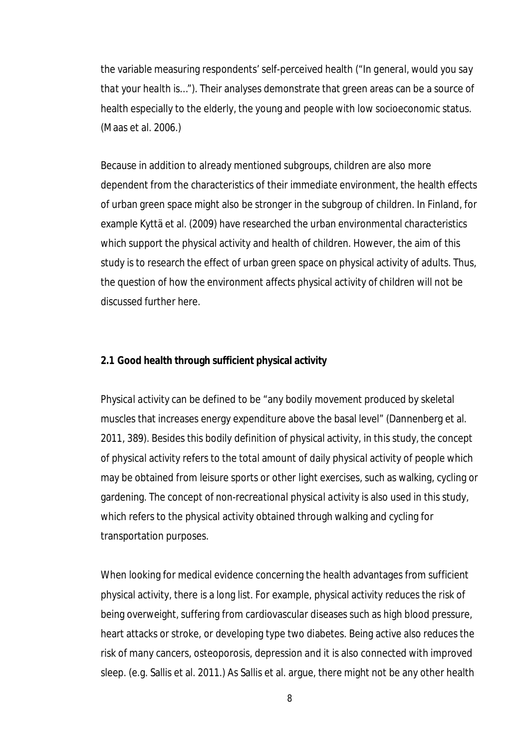the variable measuring respondents' self-perceived health (*"In general, would you say that your health is…")*. Their analyses demonstrate that green areas can be a source of health especially to the elderly, the young and people with low socioeconomic status. (Maas et al. 2006.)

Because in addition to already mentioned subgroups, children are also more dependent from the characteristics of their immediate environment, the health effects of urban green space might also be stronger in the subgroup of children. In Finland, for example Kyttä et al. (2009) have researched the urban environmental characteristics which support the physical activity and health of children. However, the aim of this study is to research the effect of urban green space on physical activity of adults. Thus, the question of how the environment affects physical activity of children will not be discussed further here.

## **2.1 Good health through sufficient physical activity**

*Physical activity* can be defined to be "any bodily movement produced by skeletal muscles that increases energy expenditure above the basal level" (Dannenberg et al. 2011, 389). Besides this bodily definition of physical activity, in this study, the concept of physical activity refers to the total amount of daily physical activity of people which may be obtained from leisure sports or other light exercises, such as walking, cycling or gardening. The concept of *non-recreational physical activity* is also used in this study, which refers to the physical activity obtained through walking and cycling for transportation purposes.

When looking for medical evidence concerning the health advantages from sufficient physical activity, there is a long list. For example, physical activity reduces the risk of being overweight, suffering from cardiovascular diseases such as high blood pressure, heart attacks or stroke, or developing type two diabetes. Being active also reduces the risk of many cancers, osteoporosis, depression and it is also connected with improved sleep. (e.g. Sallis et al. 2011.) As Sallis et al. argue, there might not be any other health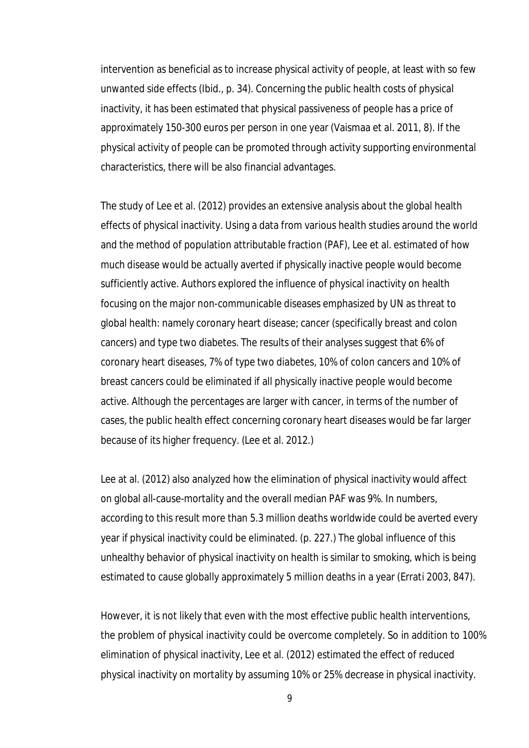intervention as beneficial as to increase physical activity of people, at least with so few unwanted side effects (Ibid., p. 34). Concerning the public health costs of physical inactivity, it has been estimated that physical passiveness of people has a price of approximately 150-300 euros per person in one year (Vaismaa et al. 2011, 8). If the physical activity of people can be promoted through activity supporting environmental characteristics, there will be also financial advantages.

The study of Lee et al. (2012) provides an extensive analysis about the global health effects of physical inactivity. Using a data from various health studies around the world and the method of population attributable fraction (PAF), Lee et al. estimated of how much disease would be actually averted if physically inactive people would become sufficiently active. Authors explored the influence of physical inactivity on health focusing on the major non-communicable diseases emphasized by UN as threat to global health: namely coronary heart disease; cancer (specifically breast and colon cancers) and type two diabetes. The results of their analyses suggest that 6% of coronary heart diseases, 7% of type two diabetes, 10% of colon cancers and 10% of breast cancers could be eliminated if all physically inactive people would become active. Although the percentages are larger with cancer, in terms of the number of cases, the public health effect concerning coronary heart diseases would be far larger because of its higher frequency. (Lee et al. 2012.)

Lee at al. (2012) also analyzed how the elimination of physical inactivity would affect on global all-cause-mortality and the overall median PAF was 9%. In numbers, according to this result more than 5.3 million deaths worldwide could be averted every year if physical inactivity could be eliminated. (p. 227.) The global influence of this unhealthy behavior of physical inactivity on health is similar to smoking, which is being estimated to cause globally approximately 5 million deaths in a year (Errati 2003, 847).

However, it is not likely that even with the most effective public health interventions, the problem of physical inactivity could be overcome completely. So in addition to 100% elimination of physical inactivity, Lee et al. (2012) estimated the effect of reduced physical inactivity on mortality by assuming 10% or 25% decrease in physical inactivity.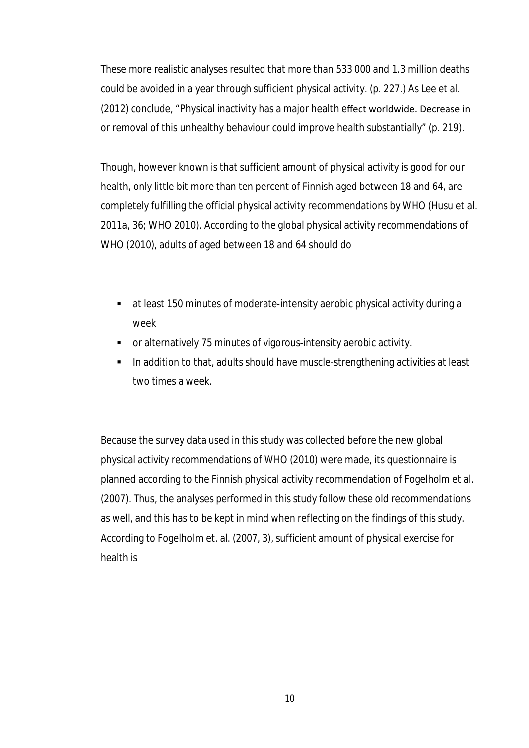These more realistic analyses resulted that more than 533 000 and 1.3 million deaths could be avoided in a year through sufficient physical activity. (p. 227.) As Lee et al. (2012) conclude, "Physical inactivity has a major health effect worldwide. Decrease in or removal of this unhealthy behaviour could improve health substantially" (p. 219).

Though, however known is that sufficient amount of physical activity is good for our health, only little bit more than ten percent of Finnish aged between 18 and 64, are completely fulfilling the official physical activity recommendations by WHO (Husu et al. 2011a, 36; WHO 2010). According to the global physical activity recommendations of WHO (2010), adults of aged between 18 and 64 should do

- at least 150 minutes of moderate-intensity aerobic physical activity during a week
- or alternatively 75 minutes of vigorous-intensity aerobic activity.
- In addition to that, adults should have muscle-strengthening activities at least two times a week.

Because the survey data used in this study was collected before the new global physical activity recommendations of WHO (2010) were made, its questionnaire is planned according to the Finnish physical activity recommendation of Fogelholm et al. (2007). Thus, the analyses performed in this study follow these old recommendations as well, and this has to be kept in mind when reflecting on the findings of this study. According to Fogelholm et. al. (2007, 3), sufficient amount of physical exercise for health is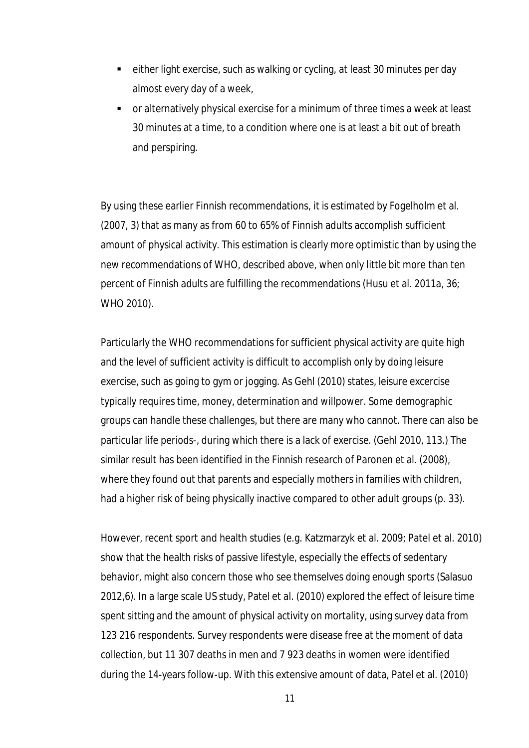- either light exercise, such as walking or cycling, at least 30 minutes per day almost every day of a week,
- or alternatively physical exercise for a minimum of three times a week at least 30 minutes at a time, to a condition where one is at least a bit out of breath and perspiring.

By using these earlier Finnish recommendations, it is estimated by Fogelholm et al. (2007, 3) that as many as from 60 to 65% of Finnish adults accomplish sufficient amount of physical activity. This estimation is clearly more optimistic than by using the new recommendations of WHO, described above, when only little bit more than ten percent of Finnish adults are fulfilling the recommendations (Husu et al. 2011a, 36; WHO 2010).

Particularly the WHO recommendations for sufficient physical activity are quite high and the level of sufficient activity is difficult to accomplish only by doing leisure exercise, such as going to gym or jogging. As Gehl (2010) states, leisure excercise typically requires time, money, determination and willpower. Some demographic groups can handle these challenges, but there are many who cannot. There can also be particular life periods-, during which there is a lack of exercise. (Gehl 2010, 113.) The similar result has been identified in the Finnish research of Paronen et al. (2008), where they found out that parents and especially mothers in families with children, had a higher risk of being physically inactive compared to other adult groups (p. 33).

However, recent sport and health studies (e.g. Katzmarzyk et al. 2009; Patel et al. 2010) show that the health risks of passive lifestyle, especially the effects of sedentary behavior, might also concern those who see themselves doing enough sports (Salasuo 2012,6). In a large scale US study, Patel et al. (2010) explored the effect of leisure time spent sitting and the amount of physical activity on mortality, using survey data from 123 216 respondents. Survey respondents were disease free at the moment of data collection, but 11 307 deaths in men and 7 923 deaths in women were identified during the 14-years follow-up. With this extensive amount of data, Patel et al. (2010)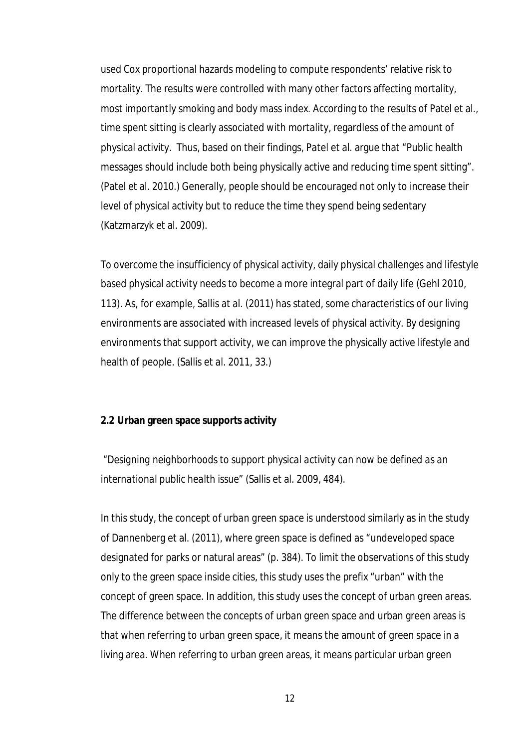used Cox proportional hazards modeling to compute respondents' relative risk to mortality. The results were controlled with many other factors affecting mortality, most importantly smoking and body mass index. According to the results of Patel et al., time spent sitting is clearly associated with mortality, regardless of the amount of physical activity. Thus, based on their findings, Patel et al. argue that "Public health messages should include both being physically active and reducing time spent sitting". (Patel et al. 2010.) Generally, people should be encouraged not only to increase their level of physical activity but to reduce the time they spend being sedentary (Katzmarzyk et al. 2009).

To overcome the insufficiency of physical activity, daily physical challenges and lifestyle based physical activity needs to become a more integral part of daily life (Gehl 2010, 113). As, for example, Sallis at al. (2011) has stated, some characteristics of our living environments are associated with increased levels of physical activity. By designing environments that support activity, we can improve the physically active lifestyle and health of people. (Sallis et al. 2011, 33.)

#### **2.2 Urban green space supports activity**

*"Designing neighborhoods to support physical activity can now be defined as an international public health issue*" (Sallis et al. 2009, 484).

In this study, the concept of *urban green space* is understood similarly as in the study of Dannenberg et al. (2011), where green space is defined as "undeveloped space designated for parks or natural areas" (p. 384). To limit the observations of this study only to the green space inside cities, this study uses the prefix "urban" with the concept of green space. In addition, this study uses the concept of *urban green areas.* The difference between the concepts of urban green space and urban green areas is that when referring to urban green space, it means the amount of green space in a living area. When referring to urban green areas, it means particular urban green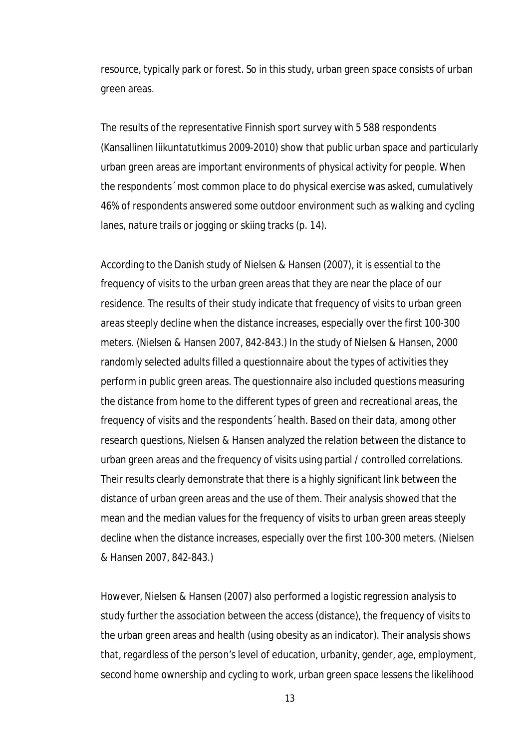resource, typically park or forest. So in this study, urban green space consists of urban green areas.

The results of the representative Finnish sport survey with 5 588 respondents (Kansallinen liikuntatutkimus 2009-2010) show that public urban space and particularly urban green areas are important environments of physical activity for people. When the respondents´ most common place to do physical exercise was asked, cumulatively 46% of respondents answered some outdoor environment such as walking and cycling lanes, nature trails or jogging or skiing tracks (p. 14).

According to the Danish study of Nielsen & Hansen (2007), it is essential to the frequency of visits to the urban green areas that they are near the place of our residence. The results of their study indicate that frequency of visits to urban green areas steeply decline when the distance increases, especially over the first 100-300 meters. (Nielsen & Hansen 2007, 842-843.) In the study of Nielsen & Hansen, 2000 randomly selected adults filled a questionnaire about the types of activities they perform in public green areas. The questionnaire also included questions measuring the distance from home to the different types of green and recreational areas, the frequency of visits and the respondents´ health. Based on their data, among other research questions, Nielsen & Hansen analyzed the relation between the distance to urban green areas and the frequency of visits using partial / controlled correlations. Their results clearly demonstrate that there is a highly significant link between the distance of urban green areas and the use of them. Their analysis showed that the mean and the median values for the frequency of visits to urban green areas steeply decline when the distance increases, especially over the first 100-300 meters. (Nielsen & Hansen 2007, 842-843.)

However, Nielsen & Hansen (2007) also performed a logistic regression analysis to study further the association between the access (distance), the frequency of visits to the urban green areas and health (using obesity as an indicator). Their analysis shows that, regardless of the person's level of education, urbanity, gender, age, employment, second home ownership and cycling to work, urban green space lessens the likelihood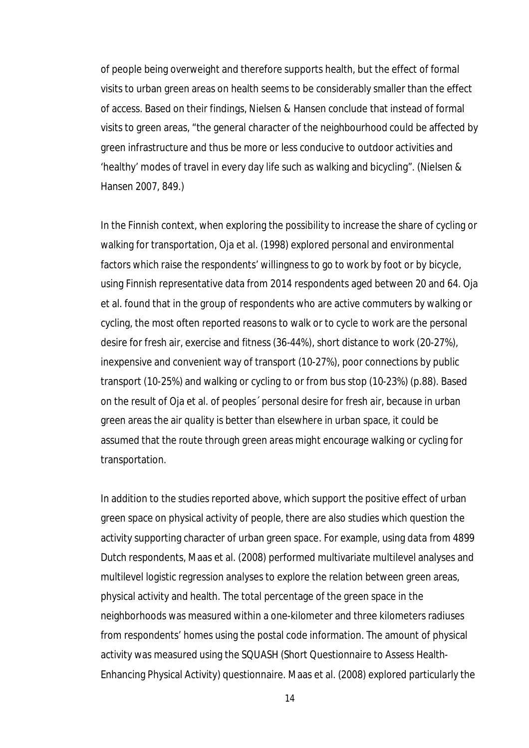of people being overweight and therefore supports health, but the effect of formal visits to urban green areas on health seems to be considerably smaller than the effect of access. Based on their findings, Nielsen & Hansen conclude that instead of formal visits to green areas, "the general character of the neighbourhood could be affected by green infrastructure and thus be more or less conducive to outdoor activities and 'healthy' modes of travel in every day life such as walking and bicycling". (Nielsen & Hansen 2007, 849.)

In the Finnish context, when exploring the possibility to increase the share of cycling or walking for transportation, Oja et al. (1998) explored personal and environmental factors which raise the respondents' willingness to go to work by foot or by bicycle, using Finnish representative data from 2014 respondents aged between 20 and 64. Oja et al. found that in the group of respondents who are active commuters by walking or cycling, the most often reported reasons to walk or to cycle to work are the personal desire for fresh air, exercise and fitness (36-44%), short distance to work (20-27%), inexpensive and convenient way of transport (10-27%), poor connections by public transport (10-25%) and walking or cycling to or from bus stop (10-23%) (p.88). Based on the result of Oja et al. of peoples´ personal desire for fresh air, because in urban green areas the air quality is better than elsewhere in urban space, it could be assumed that the route through green areas might encourage walking or cycling for transportation.

In addition to the studies reported above, which support the positive effect of urban green space on physical activity of people, there are also studies which question the activity supporting character of urban green space. For example, using data from 4899 Dutch respondents, Maas et al. (2008) performed multivariate multilevel analyses and multilevel logistic regression analyses to explore the relation between green areas, physical activity and health. The total percentage of the green space in the neighborhoods was measured within a one-kilometer and three kilometers radiuses from respondents' homes using the postal code information. The amount of physical activity was measured using the SQUASH (Short Questionnaire to Assess Health-Enhancing Physical Activity) questionnaire. Maas et al. (2008) explored particularly the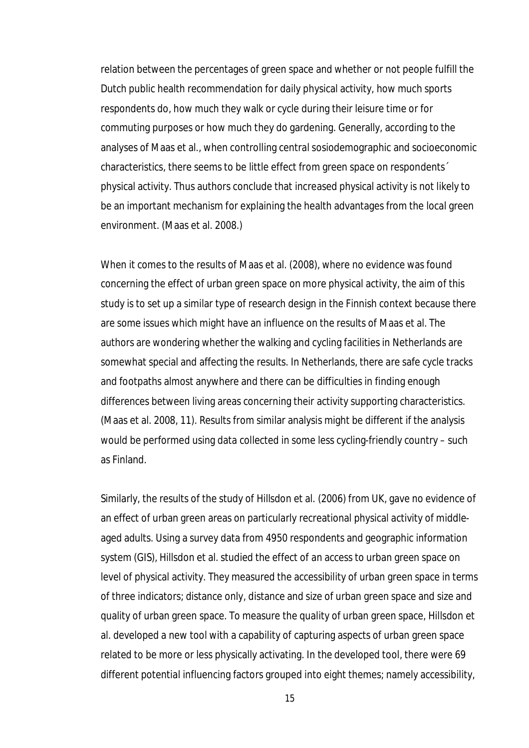relation between the percentages of green space and whether or not people fulfill the Dutch public health recommendation for daily physical activity, how much sports respondents do, how much they walk or cycle during their leisure time or for commuting purposes or how much they do gardening. Generally, according to the analyses of Maas et al., when controlling central sosiodemographic and socioeconomic characteristics, there seems to be little effect from green space on respondents´ physical activity. Thus authors conclude that increased physical activity is not likely to be an important mechanism for explaining the health advantages from the local green environment. (Maas et al. 2008.)

When it comes to the results of Maas et al. (2008), where no evidence was found concerning the effect of urban green space on more physical activity, the aim of this study is to set up a similar type of research design in the Finnish context because there are some issues which might have an influence on the results of Maas et al. The authors are wondering whether the walking and cycling facilities in Netherlands are somewhat special and affecting the results. In Netherlands, there are safe cycle tracks and footpaths almost anywhere and there can be difficulties in finding enough differences between living areas concerning their activity supporting characteristics. (Maas et al. 2008, 11). Results from similar analysis might be different if the analysis would be performed using data collected in some less cycling-friendly country – such as Finland.

Similarly, the results of the study of Hillsdon et al. (2006) from UK, gave no evidence of an effect of urban green areas on particularly recreational physical activity of middleaged adults. Using a survey data from 4950 respondents and geographic information system (GIS), Hillsdon et al. studied the effect of an access to urban green space on level of physical activity. They measured the accessibility of urban green space in terms of three indicators; distance only, distance and size of urban green space and size and quality of urban green space. To measure the quality of urban green space, Hillsdon et al. developed a new tool with a capability of capturing aspects of urban green space related to be more or less physically activating. In the developed tool, there were 69 different potential influencing factors grouped into eight themes; namely accessibility,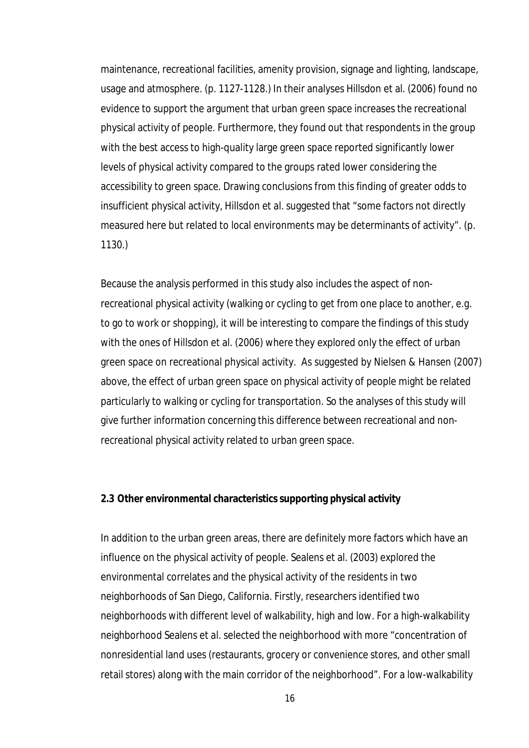maintenance, recreational facilities, amenity provision, signage and lighting, landscape, usage and atmosphere. (p. 1127-1128.) In their analyses Hillsdon et al. (2006) found no evidence to support the argument that urban green space increases the recreational physical activity of people. Furthermore, they found out that respondents in the group with the best access to high-quality large green space reported significantly lower levels of physical activity compared to the groups rated lower considering the accessibility to green space. Drawing conclusions from this finding of greater odds to insufficient physical activity, Hillsdon et al. suggested that "some factors not directly measured here but related to local environments may be determinants of activity". (p. 1130.)

Because the analysis performed in this study also includes the aspect of nonrecreational physical activity (walking or cycling to get from one place to another, e.g. to go to work or shopping), it will be interesting to compare the findings of this study with the ones of Hillsdon et al. (2006) where they explored only the effect of urban green space on recreational physical activity. As suggested by Nielsen & Hansen (2007) above, the effect of urban green space on physical activity of people might be related particularly to walking or cycling for transportation. So the analyses of this study will give further information concerning this difference between recreational and nonrecreational physical activity related to urban green space.

## **2.3 Other environmental characteristics supporting physical activity**

In addition to the urban green areas, there are definitely more factors which have an influence on the physical activity of people. Sealens et al. (2003) explored the environmental correlates and the physical activity of the residents in two neighborhoods of San Diego, California. Firstly, researchers identified two neighborhoods with different level of walkability, high and low. For a high-walkability neighborhood Sealens et al. selected the neighborhood with more "concentration of nonresidential land uses (restaurants, grocery or convenience stores, and other small retail stores) along with the main corridor of the neighborhood". For a low-walkability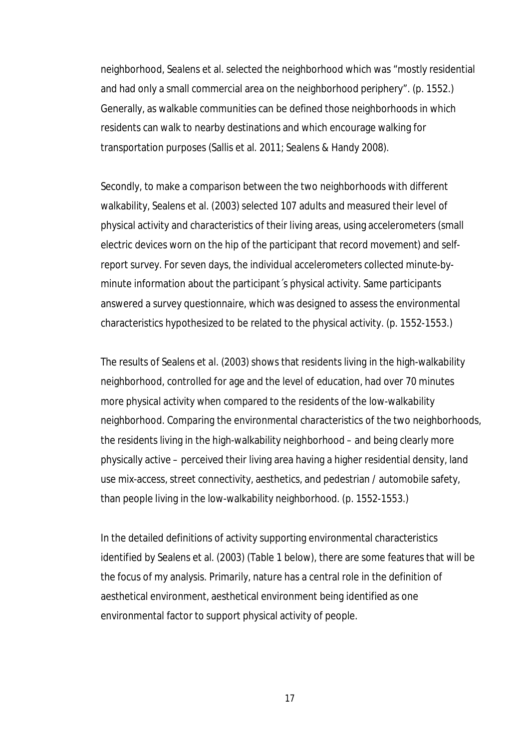neighborhood, Sealens et al. selected the neighborhood which was "mostly residential and had only a small commercial area on the neighborhood periphery". (p. 1552.) Generally, as walkable communities can be defined those neighborhoods in which residents can walk to nearby destinations and which encourage walking for transportation purposes (Sallis et al. 2011; Sealens & Handy 2008).

Secondly, to make a comparison between the two neighborhoods with different walkability, Sealens et al. (2003) selected 107 adults and measured their level of physical activity and characteristics of their living areas, using accelerometers (small electric devices worn on the hip of the participant that record movement) and selfreport survey. For seven days, the individual accelerometers collected minute-byminute information about the participant´s physical activity. Same participants answered a survey questionnaire, which was designed to assess the environmental characteristics hypothesized to be related to the physical activity. (p. 1552-1553.)

The results of Sealens et al. (2003) shows that residents living in the high-walkability neighborhood, controlled for age and the level of education, had over 70 minutes more physical activity when compared to the residents of the low-walkability neighborhood. Comparing the environmental characteristics of the two neighborhoods, the residents living in the high-walkability neighborhood – and being clearly more physically active – perceived their living area having a higher residential density, land use mix-access, street connectivity, aesthetics, and pedestrian / automobile safety, than people living in the low-walkability neighborhood. (p. 1552-1553.)

In the detailed definitions of activity supporting environmental characteristics identified by Sealens et al. (2003) (Table 1 below), there are some features that will be the focus of my analysis. Primarily, nature has a central role in the definition of aesthetical environment, aesthetical environment being identified as one environmental factor to support physical activity of people.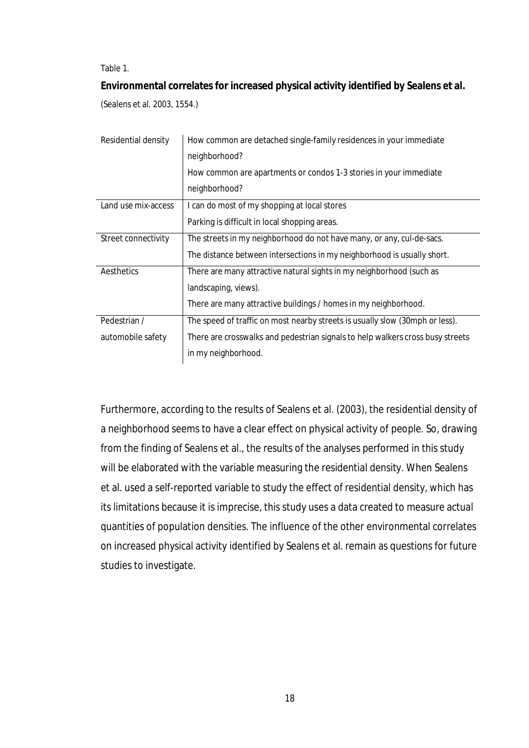Table 1.

**Environmental correlates for increased physical activity identified by Sealens et al.** 

(Sealens et al. 2003, 1554.)

| Residential density | How common are detached single-family residences in your immediate             |  |  |  |  |
|---------------------|--------------------------------------------------------------------------------|--|--|--|--|
|                     | neighborhood?                                                                  |  |  |  |  |
|                     | How common are apartments or condos 1-3 stories in your immediate              |  |  |  |  |
|                     | neighborhood?                                                                  |  |  |  |  |
| Land use mix-access | I can do most of my shopping at local stores                                   |  |  |  |  |
|                     | Parking is difficult in local shopping areas.                                  |  |  |  |  |
| Street connectivity | The streets in my neighborhood do not have many, or any, cul-de-sacs.          |  |  |  |  |
|                     | The distance between intersections in my neighborhood is usually short.        |  |  |  |  |
| Aesthetics          | There are many attractive natural sights in my neighborhood (such as           |  |  |  |  |
|                     | landscaping, views).                                                           |  |  |  |  |
|                     | There are many attractive buildings / homes in my neighborhood.                |  |  |  |  |
| Pedestrian /        | The speed of traffic on most nearby streets is usually slow (30mph or less).   |  |  |  |  |
| automobile safety   | There are crosswalks and pedestrian signals to help walkers cross busy streets |  |  |  |  |
|                     | in my neighborhood.                                                            |  |  |  |  |

Furthermore, according to the results of Sealens et al. (2003), the residential density of a neighborhood seems to have a clear effect on physical activity of people. So, drawing from the finding of Sealens et al., the results of the analyses performed in this study will be elaborated with the variable measuring the residential density. When Sealens et al. used a self-reported variable to study the effect of residential density, which has its limitations because it is imprecise, this study uses a data created to measure actual quantities of population densities. The influence of the other environmental correlates on increased physical activity identified by Sealens et al. remain as questions for future studies to investigate.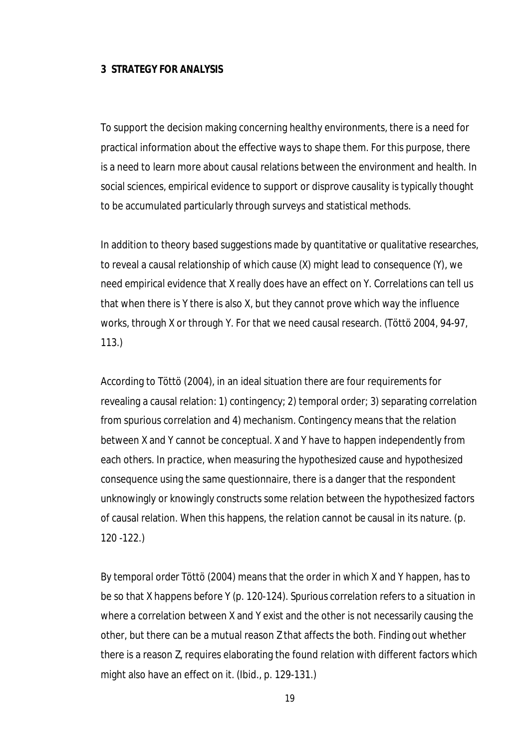## **3 STRATEGY FOR ANALYSIS**

To support the decision making concerning healthy environments, there is a need for practical information about the effective ways to shape them. For this purpose, there is a need to learn more about causal relations between the environment and health. In social sciences, empirical evidence to support or disprove causality is typically thought to be accumulated particularly through surveys and statistical methods.

In addition to theory based suggestions made by quantitative or qualitative researches, to reveal a causal relationship of which cause (X) might lead to consequence (Y), we need empirical evidence that X really does have an effect on Y. Correlations can tell us that when there is Y there is also X, but they cannot prove which way the influence works, through X or through Y. For that we need causal research. (Töttö 2004, 94-97, 113.)

According to Töttö (2004), in an ideal situation there are four requirements for revealing a causal relation: 1) contingency; 2) temporal order; 3) separating correlation from spurious correlation and 4) mechanism. *Contingency* means that the relation between X and Y cannot be conceptual. X and Y have to happen independently from each others. In practice, when measuring the hypothesized cause and hypothesized consequence using the same questionnaire, there is a danger that the respondent unknowingly or knowingly constructs some relation between the hypothesized factors of causal relation. When this happens, the relation cannot be causal in its nature. (p. 120 -122.)

By *temporal order* Töttö (2004) means that the order in which X and Y happen, has to be so that X happens before Y (p. 120-124). *Spurious correlation* refers to a situation in where a correlation between X and Y exist and the other is not necessarily causing the other, but there can be a mutual reason Z that affects the both. Finding out whether there is a reason Z, requires elaborating the found relation with different factors which might also have an effect on it. (Ibid., p. 129-131.)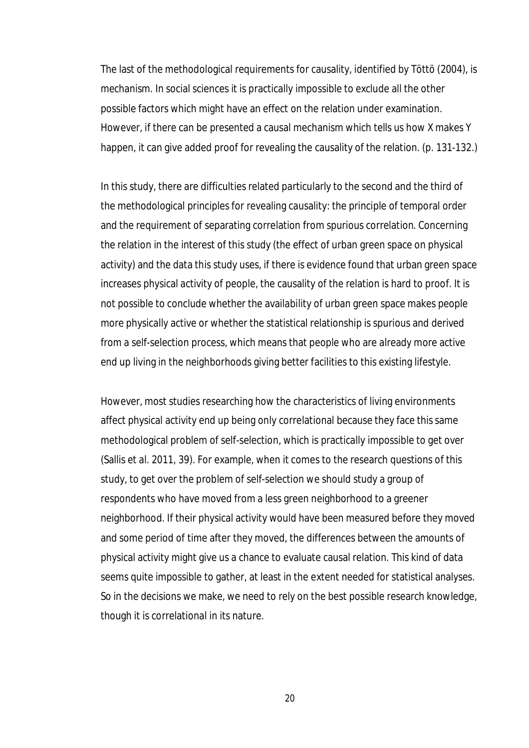The last of the methodological requirements for causality, identified by Töttö (2004), is *mechanism*. In social sciences it is practically impossible to exclude all the other possible factors which might have an effect on the relation under examination. However, if there can be presented a causal mechanism which tells us how X makes Y happen, it can give added proof for revealing the causality of the relation. (p. 131-132.)

In this study, there are difficulties related particularly to the second and the third of the methodological principles for revealing causality: the principle of temporal order and the requirement of separating correlation from spurious correlation. Concerning the relation in the interest of this study (the effect of urban green space on physical activity) and the data this study uses, if there is evidence found that urban green space increases physical activity of people, the causality of the relation is hard to proof. It is not possible to conclude whether the availability of urban green space makes people more physically active or whether the statistical relationship is spurious and derived from a self-selection process, which means that people who are already more active end up living in the neighborhoods giving better facilities to this existing lifestyle.

However, most studies researching how the characteristics of living environments affect physical activity end up being only correlational because they face this same methodological problem of self-selection, which is practically impossible to get over (Sallis et al. 2011, 39). For example, when it comes to the research questions of this study, to get over the problem of self-selection we should study a group of respondents who have moved from a less green neighborhood to a greener neighborhood. If their physical activity would have been measured before they moved and some period of time after they moved, the differences between the amounts of physical activity might give us a chance to evaluate causal relation. This kind of data seems quite impossible to gather, at least in the extent needed for statistical analyses. So in the decisions we make, we need to rely on the best possible research knowledge, though it is correlational in its nature.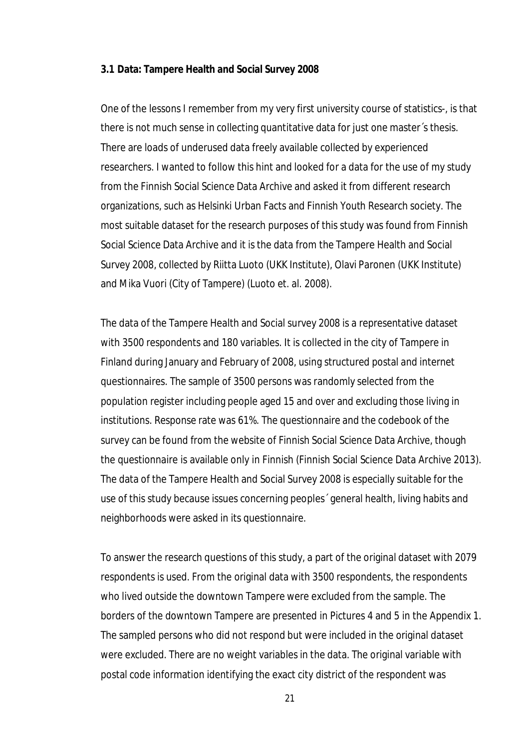#### **3.1 Data: Tampere Health and Social Survey 2008**

One of the lessons I remember from my very first university course of statistics-, is that there is not much sense in collecting quantitative data for just one master´s thesis. There are loads of underused data freely available collected by experienced researchers. I wanted to follow this hint and looked for a data for the use of my study from the Finnish Social Science Data Archive and asked it from different research organizations, such as Helsinki Urban Facts and Finnish Youth Research society. The most suitable dataset for the research purposes of this study was found from Finnish Social Science Data Archive and it is the data from the Tampere Health and Social Survey 2008, collected by Riitta Luoto (UKK Institute), Olavi Paronen (UKK Institute) and Mika Vuori (City of Tampere) (Luoto et. al. 2008).

The data of the Tampere Health and Social survey 2008 is a representative dataset with 3500 respondents and 180 variables. It is collected in the city of Tampere in Finland during January and February of 2008, using structured postal and internet questionnaires. The sample of 3500 persons was randomly selected from the population register including people aged 15 and over and excluding those living in institutions. Response rate was 61%. The questionnaire and the codebook of the survey can be found from the website of Finnish Social Science Data Archive, though the questionnaire is available only in Finnish (Finnish Social Science Data Archive 2013). The data of the Tampere Health and Social Survey 2008 is especially suitable for the use of this study because issues concerning peoples´ general health, living habits and neighborhoods were asked in its questionnaire.

To answer the research questions of this study, a part of the original dataset with 2079 respondents is used. From the original data with 3500 respondents, the respondents who lived outside the downtown Tampere were excluded from the sample. The borders of the downtown Tampere are presented in Pictures 4 and 5 in the Appendix 1. The sampled persons who did not respond but were included in the original dataset were excluded. There are no weight variables in the data. The original variable with postal code information identifying the exact city district of the respondent was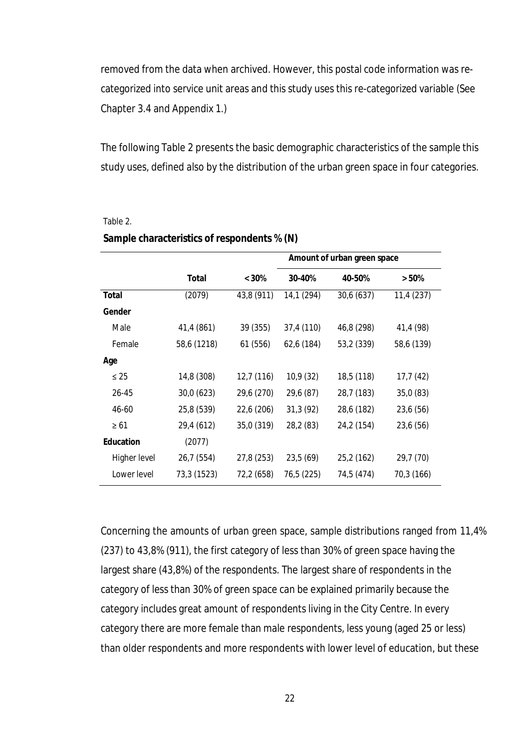removed from the data when archived. However, this postal code information was recategorized into service unit areas and this study uses this re-categorized variable (See Chapter 3.4 and Appendix 1.)

The following Table 2 presents the basic demographic characteristics of the sample this study uses, defined also by the distribution of the urban green space in four categories.

|                  |             |            | Amount of urban green space |            |            |  |
|------------------|-------------|------------|-----------------------------|------------|------------|--|
|                  |             |            |                             |            |            |  |
|                  | Total       | $< 30\%$   | 30-40%                      | 40-50%     | $> 50\%$   |  |
| <b>Total</b>     | (2079)      | 43,8 (911) | 14,1 (294)                  | 30,6 (637) | 11,4 (237) |  |
| Gender           |             |            |                             |            |            |  |
| Male             | 41,4 (861)  | 39 (355)   | 37,4 (110)                  | 46,8 (298) | 41,4 (98)  |  |
| Female           | 58,6 (1218) | 61 (556)   | 62,6 (184)                  | 53,2 (339) | 58,6 (139) |  |
| Age              |             |            |                             |            |            |  |
| $\leq 25$        | 14,8 (308)  | 12,7 (116) | 10,9 (32)                   | 18,5 (118) | 17,7 (42)  |  |
| 26-45            | 30,0 (623)  | 29,6 (270) | 29,6 (87)                   | 28,7 (183) | 35,0(83)   |  |
| 46-60            | 25,8 (539)  | 22,6 (206) | 31,3(92)                    | 28,6 (182) | 23,6 (56)  |  |
| $\geq 61$        | 29,4 (612)  | 35,0 (319) | 28,2 (83)                   | 24,2 (154) | 23,6 (56)  |  |
| <b>Education</b> | (2077)      |            |                             |            |            |  |
| Higher level     | 26,7 (554)  | 27,8 (253) | 23,5 (69)                   | 25,2 (162) | 29,7 (70)  |  |
| Lower level      | 73,3 (1523) | 72,2 (658) | 76,5 (225)                  | 74,5 (474) | 70,3 (166) |  |

#### Table 2.

| Sample characteristics of respondents % (N) |  |  |  |  |
|---------------------------------------------|--|--|--|--|
|---------------------------------------------|--|--|--|--|

Concerning the amounts of urban green space, sample distributions ranged from 11,4% (237) to 43,8% (911), the first category of less than 30% of green space having the largest share (43,8%) of the respondents. The largest share of respondents in the category of less than 30% of green space can be explained primarily because the category includes great amount of respondents living in the City Centre. In every category there are more female than male respondents, less young (aged 25 or less) than older respondents and more respondents with lower level of education, but these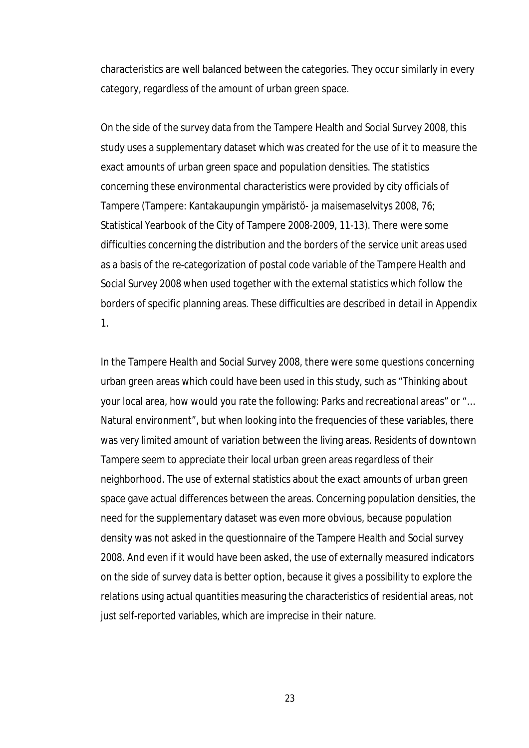characteristics are well balanced between the categories. They occur similarly in every category, regardless of the amount of urban green space.

On the side of the survey data from the Tampere Health and Social Survey 2008, this study uses a supplementary dataset which was created for the use of it to measure the exact amounts of urban green space and population densities. The statistics concerning these environmental characteristics were provided by city officials of Tampere (Tampere: Kantakaupungin ympäristö- ja maisemaselvitys 2008, 76; Statistical Yearbook of the City of Tampere 2008-2009, 11-13). There were some difficulties concerning the distribution and the borders of the service unit areas used as a basis of the re-categorization of postal code variable of the Tampere Health and Social Survey 2008 when used together with the external statistics which follow the borders of specific planning areas. These difficulties are described in detail in Appendix 1.

In the Tampere Health and Social Survey 2008, there were some questions concerning urban green areas which could have been used in this study, such as "Thinking about your local area, how would you rate the following: Parks and recreational areas" or "… Natural environment", but when looking into the frequencies of these variables, there was very limited amount of variation between the living areas. Residents of downtown Tampere seem to appreciate their local urban green areas regardless of their neighborhood. The use of external statistics about the exact amounts of urban green space gave actual differences between the areas. Concerning population densities, the need for the supplementary dataset was even more obvious, because population density was not asked in the questionnaire of the Tampere Health and Social survey 2008. And even if it would have been asked, the use of externally measured indicators on the side of survey data is better option, because it gives a possibility to explore the relations using actual quantities measuring the characteristics of residential areas, not just self-reported variables, which are imprecise in their nature.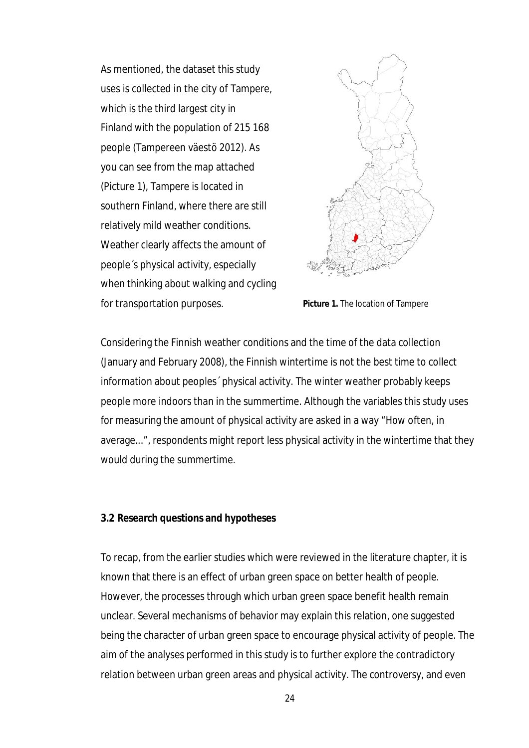As mentioned, the dataset this study uses is collected in the city of Tampere, which is the third largest city in Finland with the population of 215 168 people (Tampereen väestö 2012). As you can see from the map attached (Picture 1), Tampere is located in southern Finland, where there are still relatively mild weather conditions. Weather clearly affects the amount of people´s physical activity, especially when thinking about walking and cycling for transportation purposes.



**Picture 1.** The location of Tampere

Considering the Finnish weather conditions and the time of the data collection (January and February 2008), the Finnish wintertime is not the best time to collect information about peoples´ physical activity. The winter weather probably keeps people more indoors than in the summertime. Although the variables this study uses for measuring the amount of physical activity are asked in a way "How often, in average...", respondents might report less physical activity in the wintertime that they would during the summertime.

#### **3.2 Research questions and hypotheses**

To recap, from the earlier studies which were reviewed in the literature chapter, it is known that there is an effect of urban green space on better health of people. However, the processes through which urban green space benefit health remain unclear. Several mechanisms of behavior may explain this relation, one suggested being the character of urban green space to encourage physical activity of people. The aim of the analyses performed in this study is to further explore the contradictory relation between urban green areas and physical activity. The controversy, and even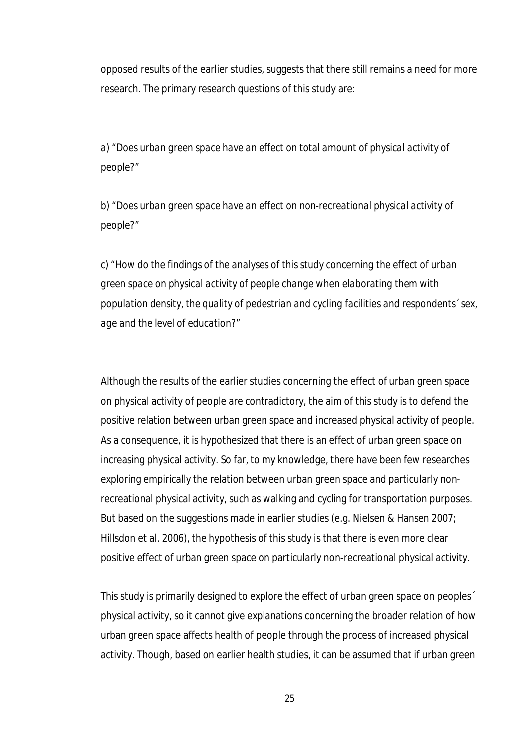opposed results of the earlier studies, suggests that there still remains a need for more research. The primary research questions of this study are:

*a) "Does urban green space have an effect on total amount of physical activity of people?"*

*b) "Does urban green space have an effect on non-recreational physical activity of people?"*

*c) "How do the findings of the analyses of this study concerning the effect of urban green space on physical activity of people change when elaborating them with population density, the quality of pedestrian and cycling facilities and respondents´ sex, age and the level of education?"*

Although the results of the earlier studies concerning the effect of urban green space on physical activity of people are contradictory, the aim of this study is to defend the positive relation between urban green space and increased physical activity of people. As a consequence, it is hypothesized that there is an effect of urban green space on increasing physical activity. So far, to my knowledge, there have been few researches exploring empirically the relation between urban green space and particularly nonrecreational physical activity, such as walking and cycling for transportation purposes. But based on the suggestions made in earlier studies (e.g. Nielsen & Hansen 2007; Hillsdon et al. 2006), the hypothesis of this study is that there is even more clear positive effect of urban green space on particularly non-recreational physical activity.

This study is primarily designed to explore the effect of urban green space on peoples´ physical activity, so it cannot give explanations concerning the broader relation of how urban green space affects health of people through the process of increased physical activity. Though, based on earlier health studies, it can be assumed that if urban green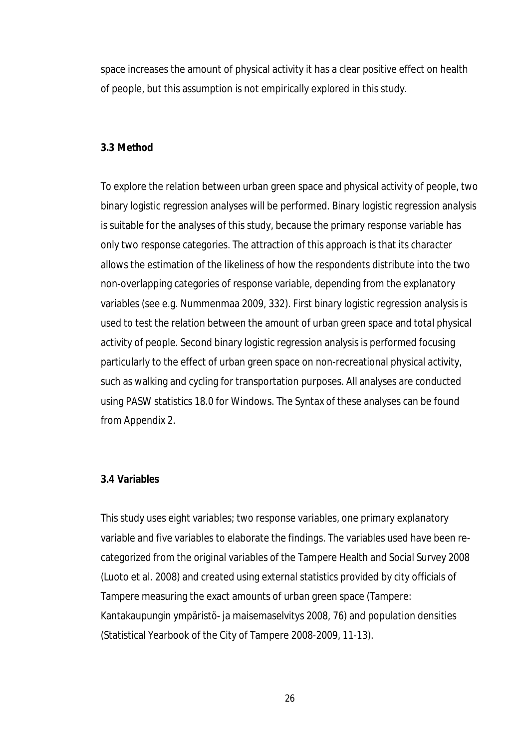space increases the amount of physical activity it has a clear positive effect on health of people, but this assumption is not empirically explored in this study.

## **3.3 Method**

To explore the relation between urban green space and physical activity of people, two binary logistic regression analyses will be performed. Binary logistic regression analysis is suitable for the analyses of this study, because the primary response variable has only two response categories. The attraction of this approach is that its character allows the estimation of the likeliness of how the respondents distribute into the two non-overlapping categories of response variable, depending from the explanatory variables (see e.g. Nummenmaa 2009, 332). First binary logistic regression analysis is used to test the relation between the amount of urban green space and total physical activity of people. Second binary logistic regression analysis is performed focusing particularly to the effect of urban green space on non-recreational physical activity, such as walking and cycling for transportation purposes. All analyses are conducted using PASW statistics 18.0 for Windows. The Syntax of these analyses can be found from Appendix 2.

## **3.4 Variables**

This study uses eight variables; two response variables, one primary explanatory variable and five variables to elaborate the findings. The variables used have been recategorized from the original variables of the Tampere Health and Social Survey 2008 (Luoto et al. 2008) and created using external statistics provided by city officials of Tampere measuring the exact amounts of urban green space (Tampere: Kantakaupungin ympäristö- ja maisemaselvitys 2008, 76) and population densities (Statistical Yearbook of the City of Tampere 2008-2009, 11-13).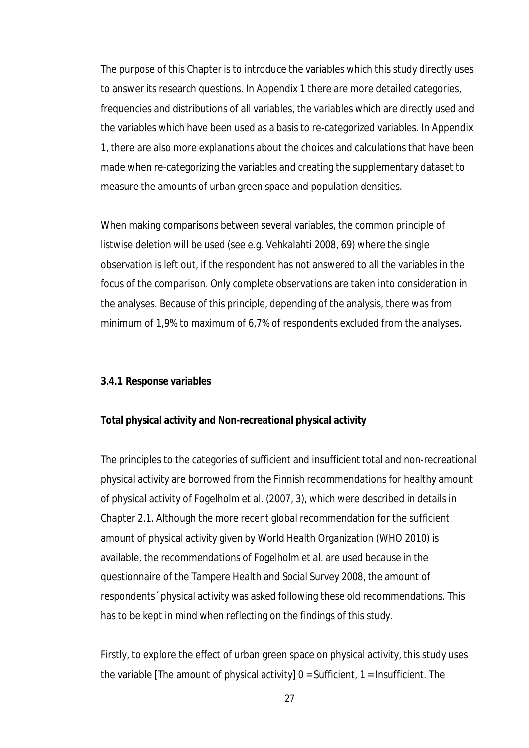The purpose of this Chapter is to introduce the variables which this study directly uses to answer its research questions. In Appendix 1 there are more detailed categories, frequencies and distributions of all variables, the variables which are directly used and the variables which have been used as a basis to re-categorized variables. In Appendix 1, there are also more explanations about the choices and calculations that have been made when re-categorizing the variables and creating the supplementary dataset to measure the amounts of urban green space and population densities.

When making comparisons between several variables, the common principle of listwise deletion will be used (see e.g. Vehkalahti 2008, 69) where the single observation is left out, if the respondent has not answered to all the variables in the focus of the comparison. Only complete observations are taken into consideration in the analyses. Because of this principle, depending of the analysis, there was from minimum of 1,9% to maximum of 6,7% of respondents excluded from the analyses.

## **3.4.1 Response variables**

#### **Total physical activity and Non-recreational physical activity**

The principles to the categories of sufficient and insufficient total and non-recreational physical activity are borrowed from the Finnish recommendations for healthy amount of physical activity of Fogelholm et al. (2007, 3), which were described in details in Chapter 2.1. Although the more recent global recommendation for the sufficient amount of physical activity given by World Health Organization (WHO 2010) is available, the recommendations of Fogelholm et al. are used because in the questionnaire of the Tampere Health and Social Survey 2008, the amount of respondents´ physical activity was asked following these old recommendations. This has to be kept in mind when reflecting on the findings of this study.

Firstly, to explore the effect of urban green space on physical activity, this study uses the variable [The amount of physical activity]  $0 = S$ ufficient, 1 = Insufficient. The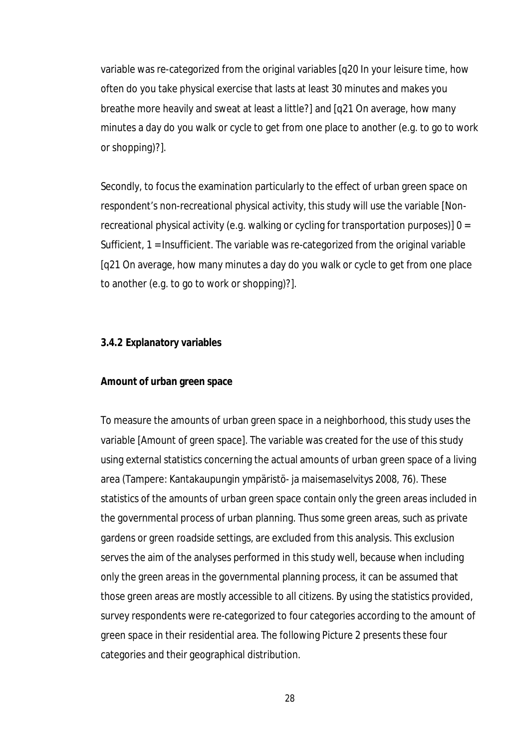variable was re-categorized from the original variables [q20 In your leisure time, how often do you take physical exercise that lasts at least 30 minutes and makes you breathe more heavily and sweat at least a little?] and [q21 On average, how many minutes a day do you walk or cycle to get from one place to another (e.g. to go to work or shopping)?].

Secondly, to focus the examination particularly to the effect of urban green space on respondent's non-recreational physical activity, this study will use the variable [Nonrecreational physical activity (e.g. walking or cycling for transportation purposes)] 0 = Sufficient, 1 = Insufficient. The variable was re-categorized from the original variable [q21 On average, how many minutes a day do you walk or cycle to get from one place to another (e.g. to go to work or shopping)?].

## **3.4.2 Explanatory variables**

#### **Amount of urban green space**

To measure the amounts of urban green space in a neighborhood, this study uses the variable [Amount of green space]. The variable was created for the use of this study using external statistics concerning the actual amounts of urban green space of a living area (Tampere: Kantakaupungin ympäristö- ja maisemaselvitys 2008, 76). These statistics of the amounts of urban green space contain only the green areas included in the governmental process of urban planning. Thus some green areas, such as private gardens or green roadside settings, are excluded from this analysis. This exclusion serves the aim of the analyses performed in this study well, because when including only the green areas in the governmental planning process, it can be assumed that those green areas are mostly accessible to all citizens. By using the statistics provided, survey respondents were re-categorized to four categories according to the amount of green space in their residential area. The following Picture 2 presents these four categories and their geographical distribution.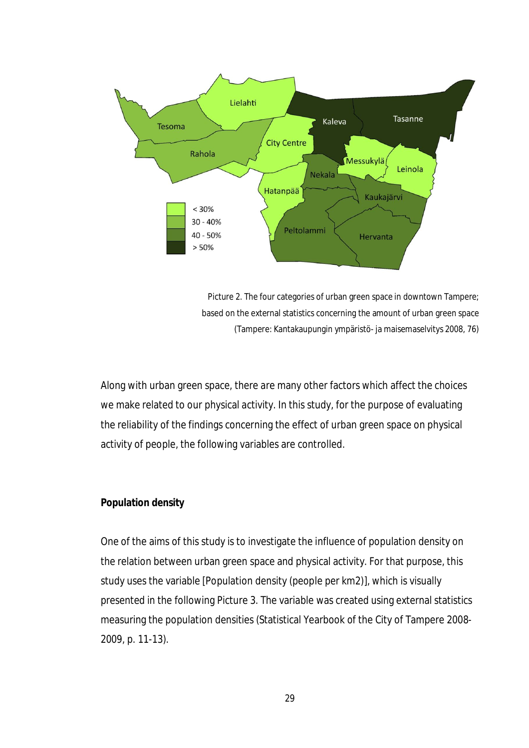

Picture 2. The four categories of urban green space in downtown Tampere; based on the external statistics concerning the amount of urban green space (Tampere: Kantakaupungin ympäristö- ja maisemaselvitys 2008, 76)

Along with urban green space, there are many other factors which affect the choices we make related to our physical activity. In this study, for the purpose of evaluating the reliability of the findings concerning the effect of urban green space on physical activity of people, the following variables are controlled.

## **Population density**

One of the aims of this study is to investigate the influence of population density on the relation between urban green space and physical activity. For that purpose, this study uses the variable [Population density (people per km2)], which is visually presented in the following Picture 3. The variable was created using external statistics measuring the population densities (Statistical Yearbook of the City of Tampere 2008- 2009, p. 11-13).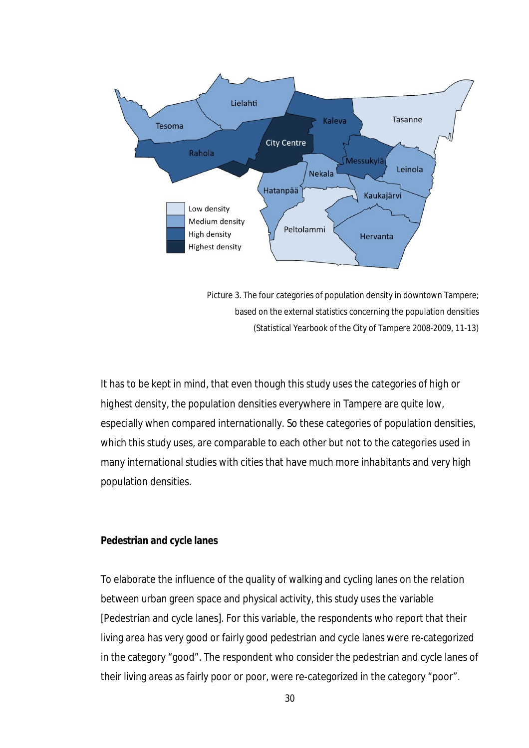

Picture 3. The four categories of population density in downtown Tampere; based on the external statistics concerning the population densities (Statistical Yearbook of the City of Tampere 2008-2009, 11-13)

It has to be kept in mind, that even though this study uses the categories of *high* or *highest* density, the population densities everywhere in Tampere are quite low, especially when compared internationally. So these categories of population densities, which this study uses, are comparable to each other but not to the categories used in many international studies with cities that have much more inhabitants and very high population densities.

## **Pedestrian and cycle lanes**

To elaborate the influence of the quality of walking and cycling lanes on the relation between urban green space and physical activity, this study uses the variable [Pedestrian and cycle lanes]. For this variable, the respondents who report that their living area has very good or fairly good pedestrian and cycle lanes were re-categorized in the category "good". The respondent who consider the pedestrian and cycle lanes of their living areas as fairly poor or poor, were re-categorized in the category "poor".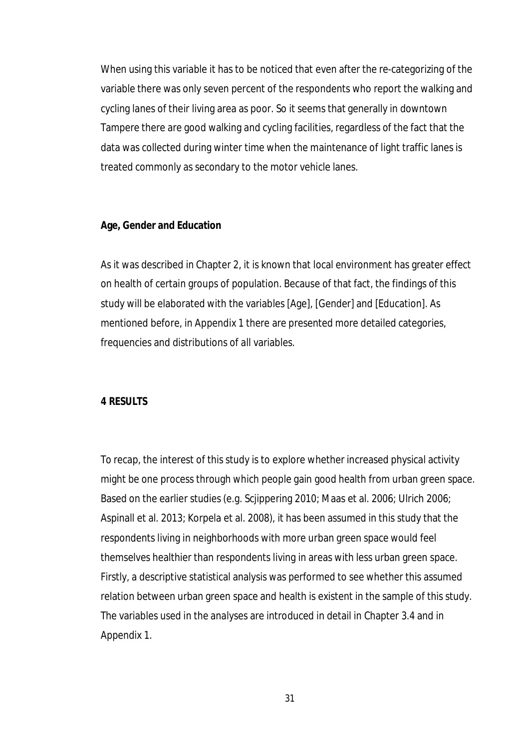When using this variable it has to be noticed that even after the re-categorizing of the variable there was only seven percent of the respondents who report the walking and cycling lanes of their living area as poor. So it seems that generally in downtown Tampere there are good walking and cycling facilities, regardless of the fact that the data was collected during winter time when the maintenance of light traffic lanes is treated commonly as secondary to the motor vehicle lanes.

## **Age, Gender and Education**

As it was described in Chapter 2, it is known that local environment has greater effect on health of certain groups of population. Because of that fact, the findings of this study will be elaborated with the variables [Age], [Gender] and [Education]. As mentioned before, in Appendix 1 there are presented more detailed categories, frequencies and distributions of all variables.

#### **4 RESULTS**

To recap, the interest of this study is to explore whether increased physical activity might be one process through which people gain good health from urban green space. Based on the earlier studies (e.g. Scjippering 2010; Maas et al. 2006; Ulrich 2006; Aspinall et al. 2013; Korpela et al. 2008), it has been assumed in this study that the respondents living in neighborhoods with more urban green space would feel themselves healthier than respondents living in areas with less urban green space. Firstly, a descriptive statistical analysis was performed to see whether this assumed relation between urban green space and health is existent in the sample of this study. The variables used in the analyses are introduced in detail in Chapter 3.4 and in Appendix 1.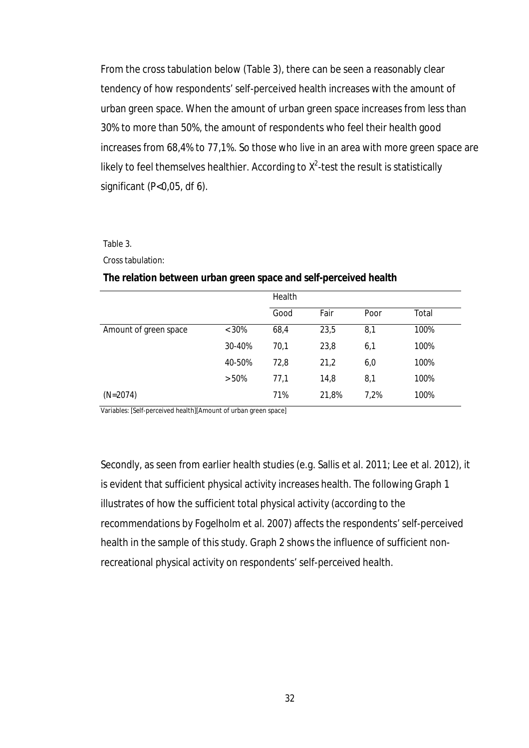From the cross tabulation below (Table 3), there can be seen a reasonably clear tendency of how respondents' self-perceived health increases with the amount of urban green space. When the amount of urban green space increases from less than 30% to more than 50%, the amount of respondents who feel their health good increases from 68,4% to 77,1%. So those who live in an area with more green space are likely to feel themselves healthier. According to  $X^2$ -test the result is statistically significant (P<0,05, df 6).

#### Table 3.

Cross tabulation:

## **The relation between urban green space and self-perceived health**

|                       |          | Health |       |      |       |
|-----------------------|----------|--------|-------|------|-------|
|                       |          | Good   | Fair  | Poor | Total |
| Amount of green space | $< 30\%$ | 68,4   | 23,5  | 8,1  | 100%  |
|                       | 30-40%   | 70,1   | 23,8  | 6,1  | 100%  |
|                       | 40-50%   | 72,8   | 21,2  | 6,0  | 100%  |
|                       | > 50%    | 77,1   | 14,8  | 8,1  | 100%  |
| $(N=2074)$            |          | 71%    | 21,8% | 7.2% | 100%  |

Variables: [Self-perceived health][Amount of urban green space]

Secondly, as seen from earlier health studies (e.g. Sallis et al. 2011; Lee et al. 2012), it is evident that sufficient physical activity increases health. The following Graph 1 illustrates of how the sufficient total physical activity (according to the recommendations by Fogelholm et al. 2007) affects the respondents' self-perceived health in the sample of this study. Graph 2 shows the influence of sufficient nonrecreational physical activity on respondents' self-perceived health.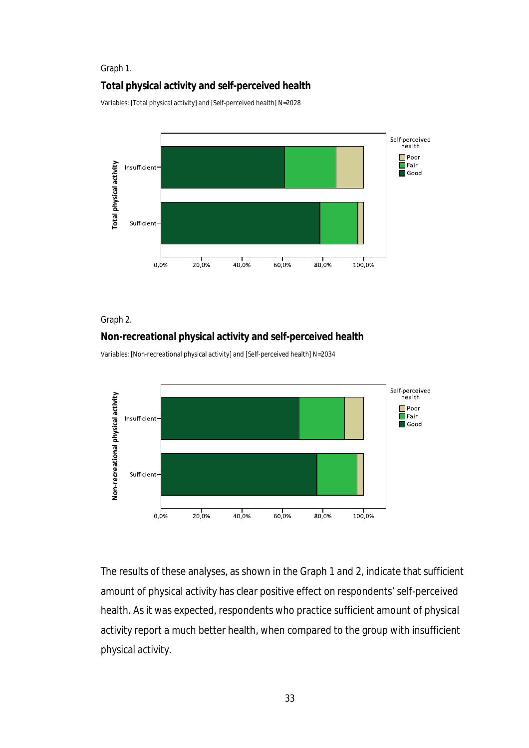#### Graph 1.

## **Total physical activity and self-perceived health**

Variables: [Total physical activity] and [Self-perceived health] N=2028



## Graph 2.

## **Non-recreational physical activity and self-perceived health**

Variables: [Non-recreational physical activity] and [Self-perceived health] N=2034



The results of these analyses, as shown in the Graph 1 and 2, indicate that sufficient amount of physical activity has clear positive effect on respondents' self-perceived health. As it was expected, respondents who practice sufficient amount of physical activity report a much better health, when compared to the group with insufficient physical activity.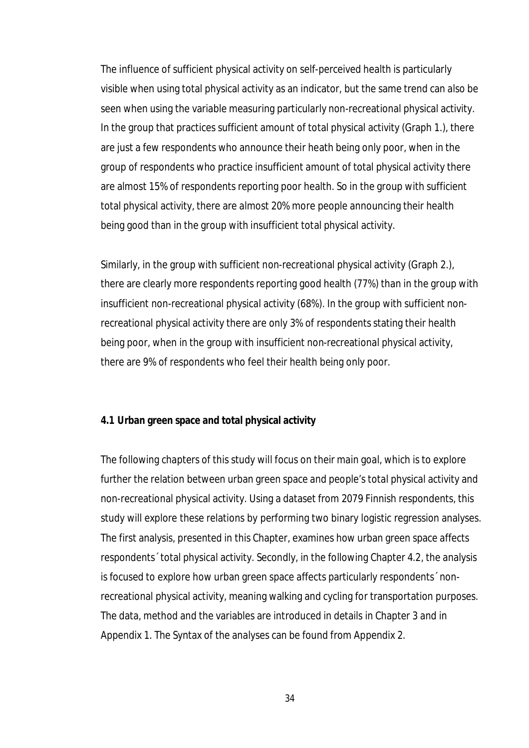The influence of sufficient physical activity on self-perceived health is particularly visible when using total physical activity as an indicator, but the same trend can also be seen when using the variable measuring particularly non-recreational physical activity. In the group that practices sufficient amount of total physical activity (Graph 1.), there are just a few respondents who announce their heath being only poor, when in the group of respondents who practice insufficient amount of total physical activity there are almost 15% of respondents reporting poor health. So in the group with sufficient total physical activity, there are almost 20% more people announcing their health being good than in the group with insufficient total physical activity.

Similarly, in the group with sufficient non-recreational physical activity (Graph 2.), there are clearly more respondents reporting good health (77%) than in the group with insufficient non-recreational physical activity (68%). In the group with sufficient nonrecreational physical activity there are only 3% of respondents stating their health being poor, when in the group with insufficient non-recreational physical activity, there are 9% of respondents who feel their health being only poor.

## **4.1 Urban green space and total physical activity**

The following chapters of this study will focus on their main goal, which is to explore further the relation between urban green space and people's total physical activity and non-recreational physical activity. Using a dataset from 2079 Finnish respondents, this study will explore these relations by performing two binary logistic regression analyses. The first analysis, presented in this Chapter, examines how urban green space affects respondents´ total physical activity. Secondly, in the following Chapter 4.2, the analysis is focused to explore how urban green space affects particularly respondents´ nonrecreational physical activity, meaning walking and cycling for transportation purposes. The data, method and the variables are introduced in details in Chapter 3 and in Appendix 1. The Syntax of the analyses can be found from Appendix 2.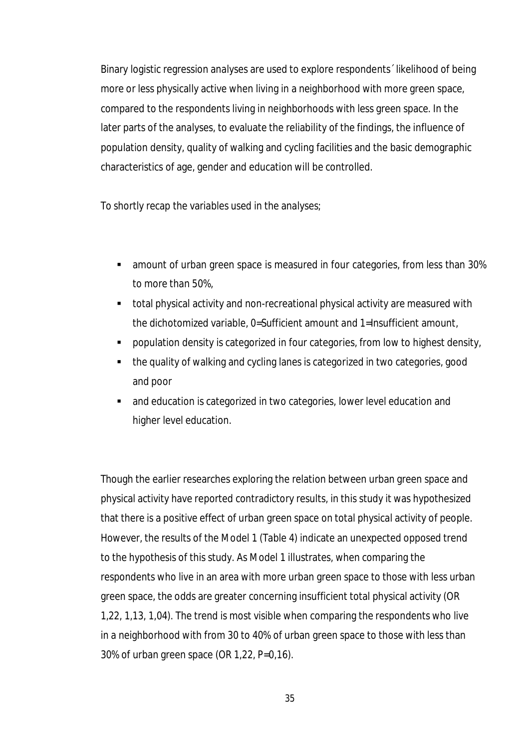Binary logistic regression analyses are used to explore respondents´ likelihood of being more or less physically active when living in a neighborhood with more green space, compared to the respondents living in neighborhoods with less green space. In the later parts of the analyses, to evaluate the reliability of the findings, the influence of population density, quality of walking and cycling facilities and the basic demographic characteristics of age, gender and education will be controlled.

To shortly recap the variables used in the analyses;

- amount of urban green space is measured in four categories, from less than 30% to more than 50%,
- total physical activity and non-recreational physical activity are measured with the dichotomized variable, 0=Sufficient amount and 1=Insufficient amount,
- population density is categorized in four categories, from low to highest density,
- the quality of walking and cycling lanes is categorized in two categories, good and poor
- and education is categorized in two categories, lower level education and higher level education.

Though the earlier researches exploring the relation between urban green space and physical activity have reported contradictory results, in this study it was hypothesized that there is a positive effect of urban green space on total physical activity of people. However, the results of the Model 1 (Table 4) indicate an unexpected opposed trend to the hypothesis of this study. As Model 1 illustrates, when comparing the respondents who live in an area with more urban green space to those with less urban green space, the odds are greater concerning insufficient total physical activity (OR 1,22, 1,13, 1,04). The trend is most visible when comparing the respondents who live in a neighborhood with from 30 to 40% of urban green space to those with less than 30% of urban green space (OR 1,22, P=0,16).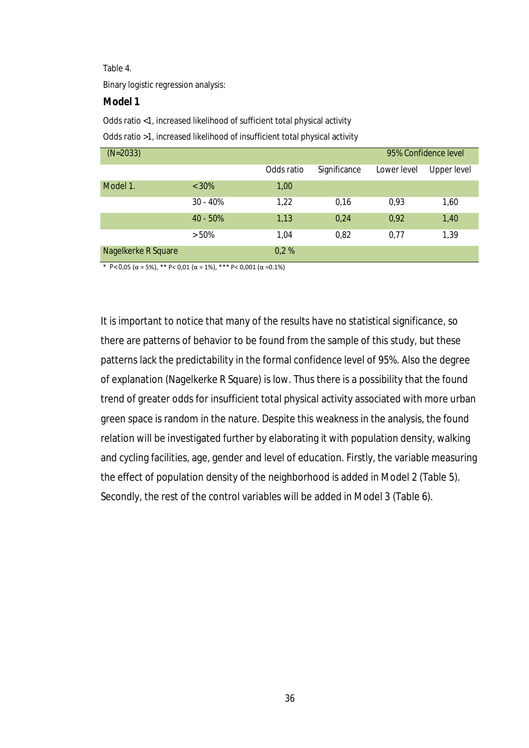#### Table 4.

Binary logistic regression analysis:

#### **Model 1**

Odds ratio <1, increased likelihood of sufficient total physical activity

Odds ratio >1, increased likelihood of insufficient total physical activity

| $(N=2033)$          |            |            |              |             | 95% Confidence level |
|---------------------|------------|------------|--------------|-------------|----------------------|
|                     |            | Odds ratio | Significance | Lower level | Upper level          |
| Model 1.            | $< 30\%$   | 1,00       |              |             |                      |
|                     | $30 - 40%$ | 1,22       | 0,16         | 0,93        | 1,60                 |
|                     | $40 - 50%$ | 1,13       | 0,24         | 0,92        | 1,40                 |
|                     | $> 50\%$   | 1.04       | 0,82         | 0,77        | 1,39                 |
| Nagelkerke R Square |            | 0,2%       |              |             |                      |

\* P< 0,05 (α = 5%), \*\* P< 0,01 (α = 1%), \*\*\* P< 0,001 (α =0.1%)

It is important to notice that many of the results have no statistical significance, so there are patterns of behavior to be found from the sample of this study, but these patterns lack the predictability in the formal confidence level of 95%. Also the degree of explanation (Nagelkerke R Square) is low. Thus there is a possibility that the found trend of greater odds for insufficient total physical activity associated with more urban green space is random in the nature. Despite this weakness in the analysis, the found relation will be investigated further by elaborating it with population density, walking and cycling facilities, age, gender and level of education. Firstly, the variable measuring the effect of population density of the neighborhood is added in Model 2 (Table 5). Secondly, the rest of the control variables will be added in Model 3 (Table 6).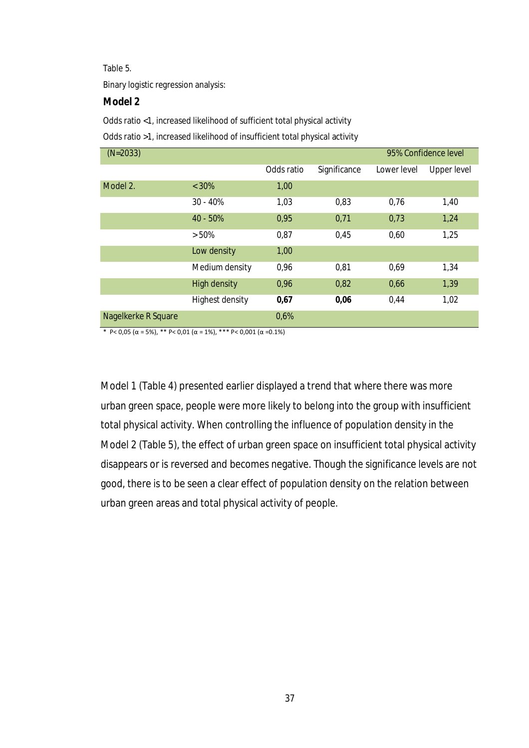#### Table 5.

Binary logistic regression analysis:

## **Model 2**

Odds ratio <1, increased likelihood of sufficient total physical activity

Odds ratio >1, increased likelihood of insufficient total physical activity

| $(N=2033)$          | 95% Confidence level   |            |              |             |                    |
|---------------------|------------------------|------------|--------------|-------------|--------------------|
|                     |                        | Odds ratio | Significance | Lower level | <b>Upper level</b> |
| Model 2.            | $< 30\%$               | 1,00       |              |             |                    |
|                     | $30 - 40%$             | 1,03       | 0,83         | 0,76        | 1,40               |
|                     | 40 - 50%               | 0,95       | 0,71         | 0,73        | 1,24               |
|                     | > 50%                  | 0,87       | 0,45         | 0.60        | 1,25               |
|                     | Low density            | 1,00       |              |             |                    |
|                     | Medium density         | 0,96       | 0,81         | 0,69        | 1,34               |
|                     | <b>High density</b>    | 0,96       | 0,82         | 0,66        | 1,39               |
|                     | <b>Highest density</b> | 0,67       | 0,06         | 0,44        | 1,02               |
| Nagelkerke R Square |                        | 0,6%       |              |             |                    |

\* P< 0,05 (α = 5%), \*\* P< 0,01 (α = 1%), \*\*\* P< 0,001 (α =0.1%)

Model 1 (Table 4) presented earlier displayed a trend that where there was more urban green space, people were more likely to belong into the group with insufficient total physical activity. When controlling the influence of population density in the Model 2 (Table 5), the effect of urban green space on insufficient total physical activity disappears or is reversed and becomes negative. Though the significance levels are not good, there is to be seen a clear effect of population density on the relation between urban green areas and total physical activity of people.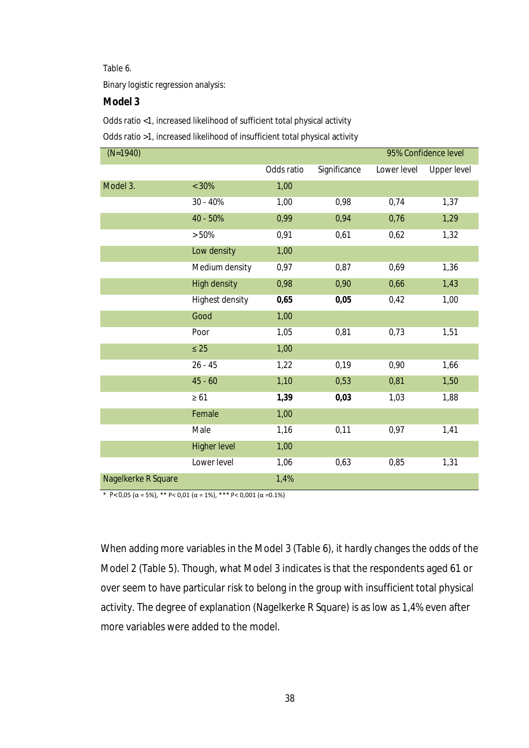#### Table 6.

Binary logistic regression analysis:

## **Model 3**

Odds ratio <1, increased likelihood of sufficient total physical activity

Odds ratio >1, increased likelihood of insufficient total physical activity

| $(N=1940)$          |                     |            |              |             | 95% Confidence level |
|---------------------|---------------------|------------|--------------|-------------|----------------------|
|                     |                     | Odds ratio | Significance | Lower level | <b>Upper level</b>   |
| Model 3.            | $< 30\%$            | 1,00       |              |             |                      |
|                     | 30 - 40%            | 1,00       | 0,98         | 0,74        | 1,37                 |
|                     | 40 - 50%            | 0,99       | 0,94         | 0,76        | 1,29                 |
|                     | > 50%               | 0,91       | 0,61         | 0,62        | 1,32                 |
|                     | Low density         | 1,00       |              |             |                      |
|                     | Medium density      | 0,97       | 0,87         | 0,69        | 1,36                 |
|                     | <b>High density</b> | 0,98       | 0,90         | 0,66        | 1,43                 |
|                     | Highest density     | 0,65       | 0,05         | 0,42        | 1,00                 |
|                     | Good                | 1,00       |              |             |                      |
|                     | Poor                | 1,05       | 0,81         | 0,73        | 1,51                 |
|                     | $\leq 25$           | 1,00       |              |             |                      |
|                     | $26 - 45$           | 1,22       | 0,19         | 0,90        | 1,66                 |
|                     | $45 - 60$           | 1,10       | 0,53         | 0,81        | 1,50                 |
|                     | $\geq 61$           | 1,39       | 0,03         | 1,03        | 1,88                 |
|                     | Female              | 1,00       |              |             |                      |
|                     | Male                | 1,16       | 0,11         | 0,97        | 1,41                 |
|                     | <b>Higher level</b> | 1,00       |              |             |                      |
|                     | Lower level         | 1,06       | 0,63         | 0,85        | 1,31                 |
| Nagelkerke R Square |                     | 1,4%       |              |             |                      |

\* P< 0,05 (α = 5%), \*\* P< 0,01 (α = 1%), \*\*\* P< 0,001 (α =0.1%)

When adding more variables in the Model 3 (Table 6), it hardly changes the odds of the Model 2 (Table 5). Though, what Model 3 indicates is that the respondents aged 61 or over seem to have particular risk to belong in the group with insufficient total physical activity. The degree of explanation (Nagelkerke R Square) is as low as 1,4% even after more variables were added to the model.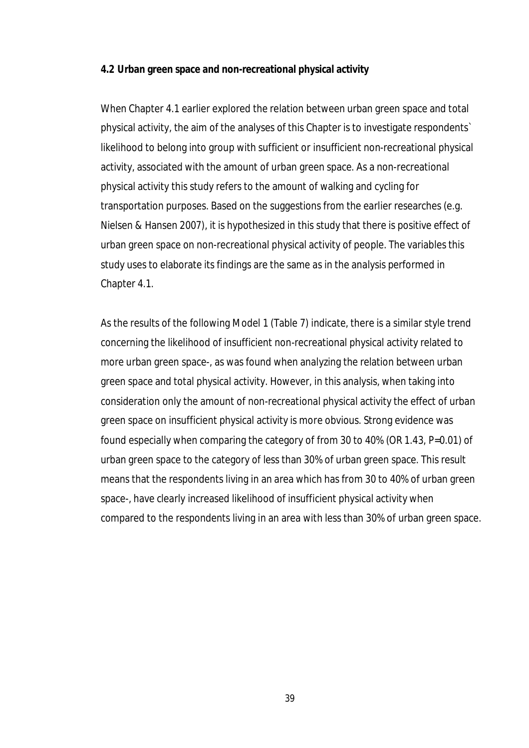#### **4.2 Urban green space and non-recreational physical activity**

When Chapter 4.1 earlier explored the relation between urban green space and total physical activity, the aim of the analyses of this Chapter is to investigate respondents` likelihood to belong into group with sufficient or insufficient non-recreational physical activity, associated with the amount of urban green space. As a non-recreational physical activity this study refers to the amount of walking and cycling for transportation purposes. Based on the suggestions from the earlier researches (e.g. Nielsen & Hansen 2007), it is hypothesized in this study that there is positive effect of urban green space on non-recreational physical activity of people. The variables this study uses to elaborate its findings are the same as in the analysis performed in Chapter 4.1.

As the results of the following Model 1 (Table 7) indicate, there is a similar style trend concerning the likelihood of insufficient non-recreational physical activity related to more urban green space-, as was found when analyzing the relation between urban green space and total physical activity. However, in this analysis, when taking into consideration only the amount of non-recreational physical activity the effect of urban green space on insufficient physical activity is more obvious. Strong evidence was found especially when comparing the category of from 30 to 40% (OR 1.43, P=0.01) of urban green space to the category of less than 30% of urban green space. This result means that the respondents living in an area which has from 30 to 40% of urban green space-, have clearly increased likelihood of insufficient physical activity when compared to the respondents living in an area with less than 30% of urban green space.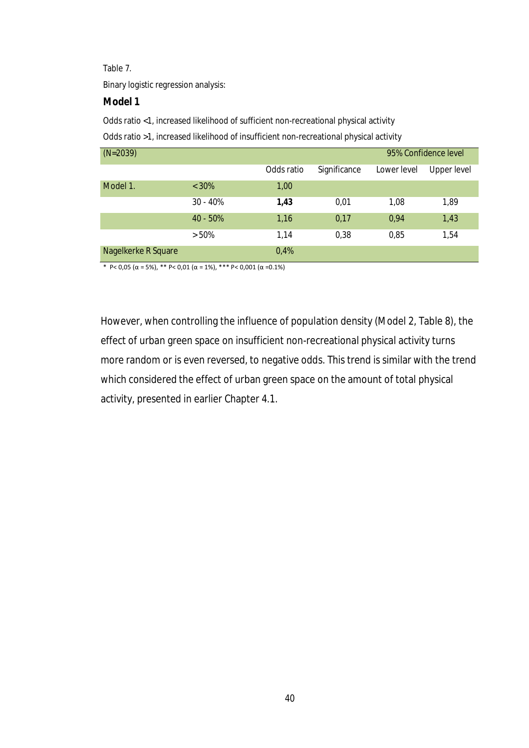#### Table 7.

Binary logistic regression analysis:

### **Model 1**

Odds ratio <1, increased likelihood of sufficient non-recreational physical activity

Odds ratio >1, increased likelihood of insufficient non-recreational physical activity

| $(N=2039)$          |            |            |              | 95% Confidence level |             |
|---------------------|------------|------------|--------------|----------------------|-------------|
|                     |            | Odds ratio | Significance | Lower level          | Upper level |
| Model 1.            | $< 30\%$   | 1,00       |              |                      |             |
|                     | $30 - 40%$ | 1,43       | 0,01         | 1,08                 | 1,89        |
|                     | $40 - 50%$ | 1,16       | 0,17         | 0,94                 | 1,43        |
|                     | $> 50\%$   | 1.14       | 0,38         | 0,85                 | 1,54        |
| Nagelkerke R Square |            | 0,4%       |              |                      |             |

\* P< 0,05 (α = 5%), \*\* P< 0,01 (α = 1%), \*\*\* P< 0,001 (α =0.1%)

However, when controlling the influence of population density (Model 2, Table 8), the effect of urban green space on insufficient non-recreational physical activity turns more random or is even reversed, to negative odds. This trend is similar with the trend which considered the effect of urban green space on the amount of total physical activity, presented in earlier Chapter 4.1.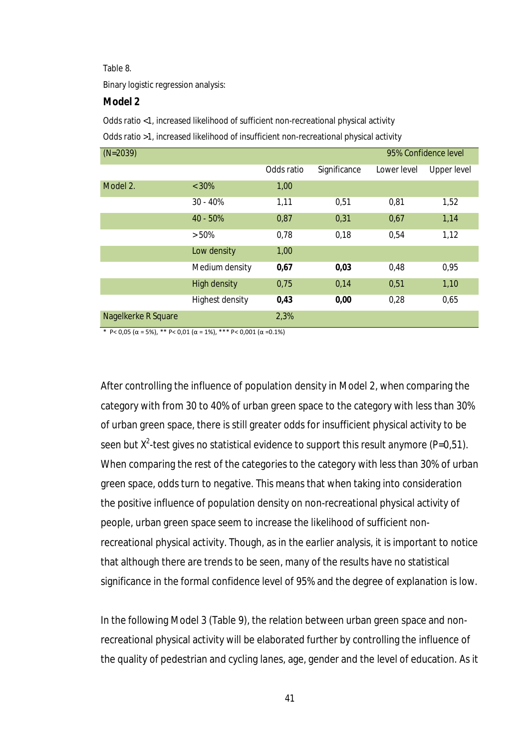#### Table 8.

Binary logistic regression analysis:

#### **Model 2**

Odds ratio <1, increased likelihood of sufficient non-recreational physical activity

Odds ratio >1, increased likelihood of insufficient non-recreational physical activity

| $(N=2039)$          |                        |            |              |             | 95% Confidence level |
|---------------------|------------------------|------------|--------------|-------------|----------------------|
|                     |                        | Odds ratio | Significance | Lower level | Upper level          |
| Model 2.            | $< 30\%$               | 1,00       |              |             |                      |
|                     | $30 - 40%$             | 1,11       | 0,51         | 0,81        | 1,52                 |
|                     | 40 - 50%               | 0,87       | 0,31         | 0,67        | 1,14                 |
|                     | $> 50\%$               | 0,78       | 0,18         | 0,54        | 1,12                 |
|                     | Low density            | 1,00       |              |             |                      |
|                     | Medium density         | 0,67       | 0,03         | 0,48        | 0,95                 |
|                     | <b>High density</b>    | 0,75       | 0,14         | 0,51        | 1,10                 |
|                     | <b>Highest density</b> | 0,43       | 0,00         | 0,28        | 0,65                 |
| Nagelkerke R Square |                        | 2,3%       |              |             |                      |

\* P< 0,05 (α = 5%), \*\* P< 0,01 (α = 1%), \*\*\* P< 0,001 (α =0.1%)

After controlling the influence of population density in Model 2, when comparing the category with from 30 to 40% of urban green space to the category with less than 30% of urban green space, there is still greater odds for insufficient physical activity to be seen but  $X^2$ -test gives no statistical evidence to support this result anymore (P=0,51). When comparing the rest of the categories to the category with less than 30% of urban green space, odds turn to negative. This means that when taking into consideration the positive influence of population density on non-recreational physical activity of people, urban green space seem to increase the likelihood of sufficient nonrecreational physical activity. Though, as in the earlier analysis, it is important to notice that although there are trends to be seen, many of the results have no statistical significance in the formal confidence level of 95% and the degree of explanation is low.

In the following Model 3 (Table 9), the relation between urban green space and nonrecreational physical activity will be elaborated further by controlling the influence of the quality of pedestrian and cycling lanes, age, gender and the level of education. As it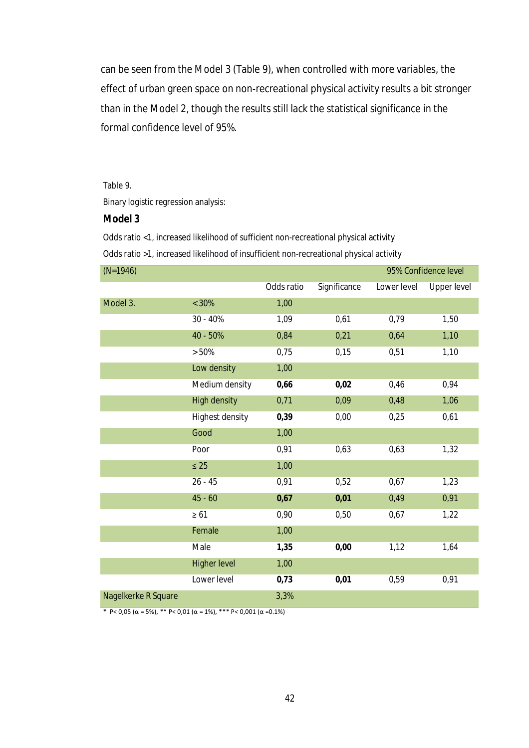can be seen from the Model 3 (Table 9), when controlled with more variables, the effect of urban green space on non-recreational physical activity results a bit stronger than in the Model 2, though the results still lack the statistical significance in the formal confidence level of 95%.

#### Table 9.

Binary logistic regression analysis:

#### **Model 3**

Odds ratio <1, increased likelihood of sufficient non-recreational physical activity

Odds ratio >1, increased likelihood of insufficient non-recreational physical activity

| $(N=1946)$          |                        |            |              | 95% Confidence level |                    |  |
|---------------------|------------------------|------------|--------------|----------------------|--------------------|--|
|                     |                        | Odds ratio | Significance | Lower level          | <b>Upper level</b> |  |
| Model 3.            | $< 30\%$               | 1,00       |              |                      |                    |  |
|                     | 30 - 40%               | 1,09       | 0,61         | 0,79                 | 1,50               |  |
|                     | 40 - 50%               | 0,84       | 0,21         | 0,64                 | 1,10               |  |
|                     | > 50%                  | 0,75       | 0,15         | 0,51                 | 1,10               |  |
|                     | Low density            | 1,00       |              |                      |                    |  |
|                     | Medium density         | 0,66       | 0,02         | 0,46                 | 0,94               |  |
|                     | <b>High density</b>    | 0,71       | 0,09         | 0,48                 | 1,06               |  |
|                     | <b>Highest density</b> | 0,39       | 0,00         | 0,25                 | 0,61               |  |
|                     | Good                   | 1,00       |              |                      |                    |  |
|                     | Poor                   | 0,91       | 0,63         | 0,63                 | 1,32               |  |
|                     | $\leq 25$              | 1,00       |              |                      |                    |  |
|                     | $26 - 45$              | 0,91       | 0,52         | 0,67                 | 1,23               |  |
|                     | $45 - 60$              | 0,67       | 0,01         | 0,49                 | 0,91               |  |
|                     | $\geq 61$              | 0,90       | 0,50         | 0,67                 | 1,22               |  |
|                     | Female                 | 1,00       |              |                      |                    |  |
|                     | Male                   | 1,35       | 0,00         | 1,12                 | 1,64               |  |
|                     | <b>Higher level</b>    | 1,00       |              |                      |                    |  |
|                     | Lower level            | 0,73       | 0,01         | 0,59                 | 0,91               |  |
| Nagelkerke R Square |                        | 3,3%       |              |                      |                    |  |

\* P< 0,05 (α = 5%), \*\* P< 0,01 (α = 1%), \*\*\* P< 0,001 (α =0.1%)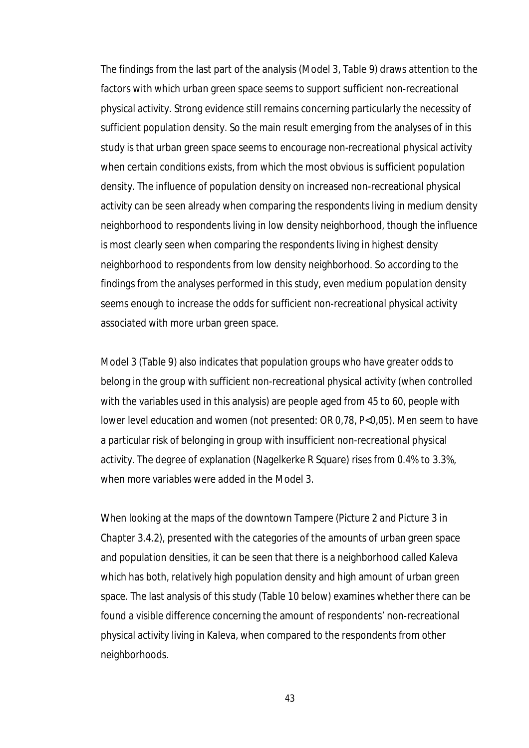The findings from the last part of the analysis (Model 3, Table 9) draws attention to the factors with which urban green space seems to support sufficient non-recreational physical activity. Strong evidence still remains concerning particularly the necessity of sufficient population density. So the main result emerging from the analyses of in this study is that urban green space seems to encourage non-recreational physical activity when certain conditions exists, from which the most obvious is sufficient population density. The influence of population density on increased non-recreational physical activity can be seen already when comparing the respondents living in medium density neighborhood to respondents living in low density neighborhood, though the influence is most clearly seen when comparing the respondents living in highest density neighborhood to respondents from low density neighborhood. So according to the findings from the analyses performed in this study, even medium population density seems enough to increase the odds for sufficient non-recreational physical activity associated with more urban green space.

Model 3 (Table 9) also indicates that population groups who have greater odds to belong in the group with sufficient non-recreational physical activity (when controlled with the variables used in this analysis) are people aged from 45 to 60, people with lower level education and women (not presented: OR 0,78, P<0,05). Men seem to have a particular risk of belonging in group with insufficient non-recreational physical activity. The degree of explanation (Nagelkerke R Square) rises from 0.4% to 3.3%, when more variables were added in the Model 3.

When looking at the maps of the downtown Tampere (Picture 2 and Picture 3 in Chapter 3.4.2), presented with the categories of the amounts of urban green space and population densities, it can be seen that there is a neighborhood called Kaleva which has both, relatively high population density and high amount of urban green space. The last analysis of this study (Table 10 below) examines whether there can be found a visible difference concerning the amount of respondents' non-recreational physical activity living in Kaleva, when compared to the respondents from other neighborhoods.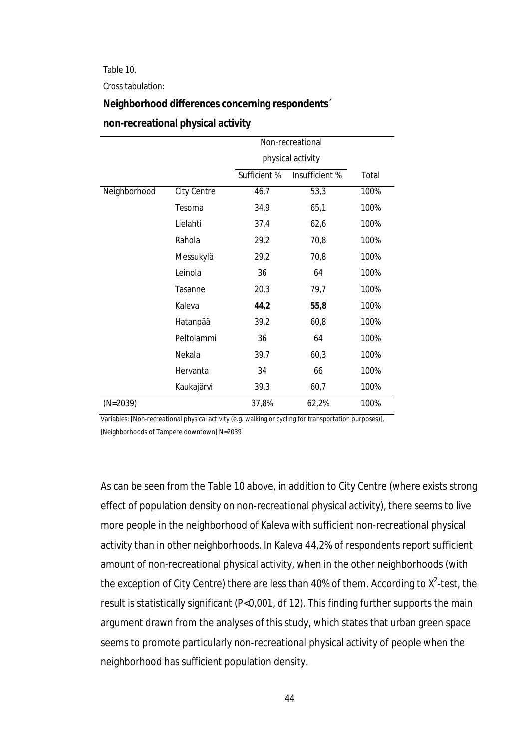Table 10.

Cross tabulation:

#### **Neighborhood differences concerning respondents´**

|              |             | Non-recreational |                   |       |  |
|--------------|-------------|------------------|-------------------|-------|--|
|              |             |                  | physical activity |       |  |
|              |             | Sufficient %     | Insufficient %    | Total |  |
| Neighborhood | City Centre | 46,7             | 53,3              | 100%  |  |
|              | Tesoma      | 34,9             | 65,1              | 100%  |  |
|              | Lielahti    | 37,4             | 62,6              | 100%  |  |
|              | Rahola      | 29,2             | 70,8              | 100%  |  |
|              | Messukylä   | 29,2             | 70,8              | 100%  |  |
|              | Leinola     | 36               | 64                | 100%  |  |
|              | Tasanne     | 20,3             | 79,7              | 100%  |  |
|              | Kaleva      | 44,2             | 55,8              | 100%  |  |
|              | Hatanpää    | 39,2             | 60,8              | 100%  |  |
|              | Peltolammi  | 36               | 64                | 100%  |  |
|              | Nekala      | 39,7             | 60,3              | 100%  |  |
|              | Hervanta    | 34               | 66                | 100%  |  |
|              | Kaukajärvi  | 39,3             | 60,7              | 100%  |  |
| $(N=2039)$   |             | 37,8%            | 62,2%             | 100%  |  |

### **non-recreational physical activity**

Variables: [Non-recreational physical activity (e.g. walking or cycling for transportation purposes)], [Neighborhoods of Tampere downtown] N=2039

As can be seen from the Table 10 above, in addition to City Centre (where exists strong effect of population density on non-recreational physical activity), there seems to live more people in the neighborhood of Kaleva with sufficient non-recreational physical activity than in other neighborhoods. In Kaleva 44,2% of respondents report sufficient amount of non-recreational physical activity, when in the other neighborhoods (with the exception of City Centre) there are less than 40% of them. According to  $X^2$ -test, the result is statistically significant (P<0,001, df 12). This finding further supports the main argument drawn from the analyses of this study, which states that urban green space seems to promote particularly non-recreational physical activity of people when the neighborhood has sufficient population density.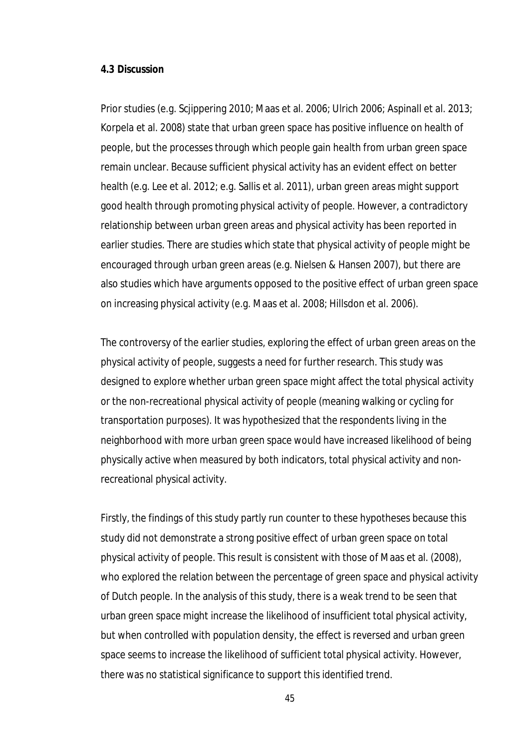#### **4.3 Discussion**

Prior studies (e.g. Scjippering 2010; Maas et al. 2006; Ulrich 2006; Aspinall et al. 2013; Korpela et al. 2008) state that urban green space has positive influence on health of people, but the processes through which people gain health from urban green space remain unclear. Because sufficient physical activity has an evident effect on better health (e.g. Lee et al. 2012; e.g. Sallis et al. 2011), urban green areas might support good health through promoting physical activity of people. However, a contradictory relationship between urban green areas and physical activity has been reported in earlier studies. There are studies which state that physical activity of people might be encouraged through urban green areas (e.g. Nielsen & Hansen 2007), but there are also studies which have arguments opposed to the positive effect of urban green space on increasing physical activity (e.g. Maas et al. 2008; Hillsdon et al. 2006).

The controversy of the earlier studies, exploring the effect of urban green areas on the physical activity of people, suggests a need for further research. This study was designed to explore whether urban green space might affect the total physical activity or the non-recreational physical activity of people (meaning walking or cycling for transportation purposes). It was hypothesized that the respondents living in the neighborhood with more urban green space would have increased likelihood of being physically active when measured by both indicators, total physical activity and nonrecreational physical activity.

Firstly, the findings of this study partly run counter to these hypotheses because this study did not demonstrate a strong positive effect of urban green space on total physical activity of people. This result is consistent with those of Maas et al. (2008), who explored the relation between the percentage of green space and physical activity of Dutch people. In the analysis of this study, there is a weak trend to be seen that urban green space might increase the likelihood of insufficient total physical activity, but when controlled with population density, the effect is reversed and urban green space seems to increase the likelihood of sufficient total physical activity. However, there was no statistical significance to support this identified trend.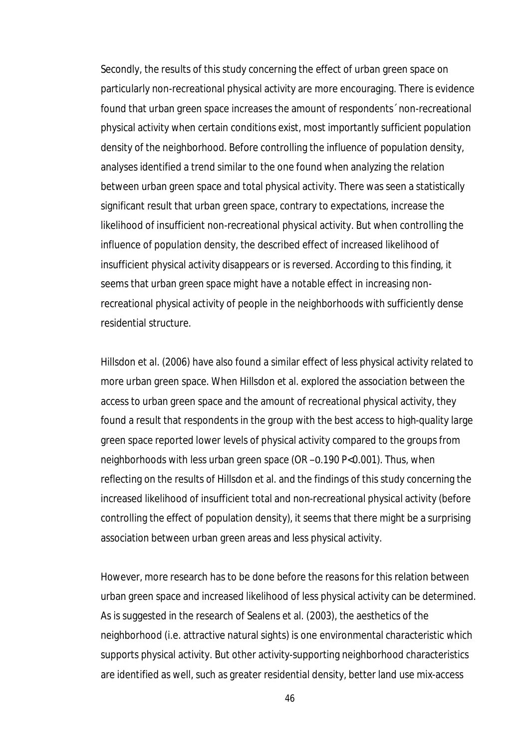Secondly, the results of this study concerning the effect of urban green space on particularly non-recreational physical activity are more encouraging. There is evidence found that urban green space increases the amount of respondents´ non-recreational physical activity when certain conditions exist, most importantly sufficient population density of the neighborhood. Before controlling the influence of population density, analyses identified a trend similar to the one found when analyzing the relation between urban green space and total physical activity. There was seen a statistically significant result that urban green space, contrary to expectations, increase the likelihood of insufficient non-recreational physical activity. But when controlling the influence of population density, the described effect of increased likelihood of insufficient physical activity disappears or is reversed. According to this finding, it seems that urban green space might have a notable effect in increasing nonrecreational physical activity of people in the neighborhoods with sufficiently dense residential structure.

Hillsdon et al. (2006) have also found a similar effect of less physical activity related to more urban green space. When Hillsdon et al. explored the association between the access to urban green space and the amount of recreational physical activity, they found a result that respondents in the group with the best access to high-quality large green space reported lower levels of physical activity compared to the groups from neighborhoods with less urban green space (OR –0.190 P<0.001). Thus, when reflecting on the results of Hillsdon et al. and the findings of this study concerning the increased likelihood of insufficient total and non-recreational physical activity (before controlling the effect of population density), it seems that there might be a surprising association between urban green areas and less physical activity.

However, more research has to be done before the reasons for this relation between urban green space and increased likelihood of less physical activity can be determined. As is suggested in the research of Sealens et al. (2003), the aesthetics of the neighborhood (i.e. attractive natural sights) is one environmental characteristic which supports physical activity. But other activity-supporting neighborhood characteristics are identified as well, such as greater residential density, better land use mix-access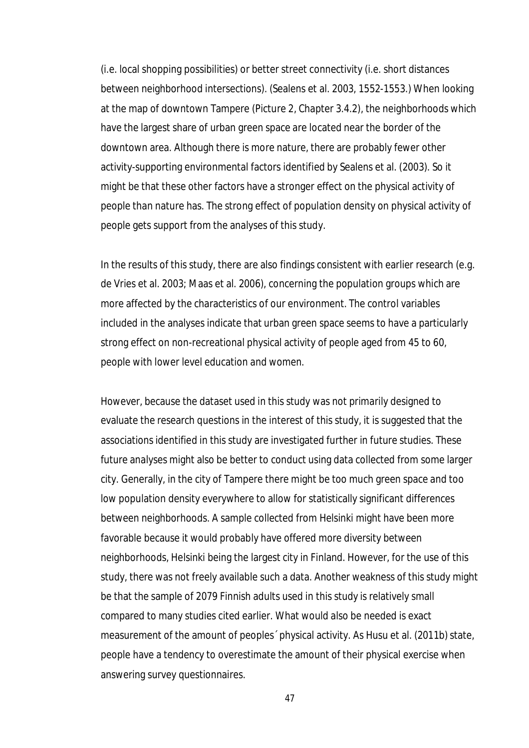(i.e. local shopping possibilities) or better street connectivity (i.e. short distances between neighborhood intersections). (Sealens et al. 2003, 1552-1553.) When looking at the map of downtown Tampere (Picture 2, Chapter 3.4.2), the neighborhoods which have the largest share of urban green space are located near the border of the downtown area. Although there is more nature, there are probably fewer other activity-supporting environmental factors identified by Sealens et al. (2003). So it might be that these other factors have a stronger effect on the physical activity of people than nature has. The strong effect of population density on physical activity of people gets support from the analyses of this study.

In the results of this study, there are also findings consistent with earlier research (e.g. de Vries et al. 2003; Maas et al. 2006), concerning the population groups which are more affected by the characteristics of our environment. The control variables included in the analyses indicate that urban green space seems to have a particularly strong effect on non-recreational physical activity of people aged from 45 to 60, people with lower level education and women.

However, because the dataset used in this study was not primarily designed to evaluate the research questions in the interest of this study, it is suggested that the associations identified in this study are investigated further in future studies. These future analyses might also be better to conduct using data collected from some larger city. Generally, in the city of Tampere there might be too much green space and too low population density everywhere to allow for statistically significant differences between neighborhoods. A sample collected from Helsinki might have been more favorable because it would probably have offered more diversity between neighborhoods, Helsinki being the largest city in Finland. However, for the use of this study, there was not freely available such a data. Another weakness of this study might be that the sample of 2079 Finnish adults used in this study is relatively small compared to many studies cited earlier. What would also be needed is exact measurement of the amount of peoples´ physical activity. As Husu et al. (2011b) state, people have a tendency to overestimate the amount of their physical exercise when answering survey questionnaires.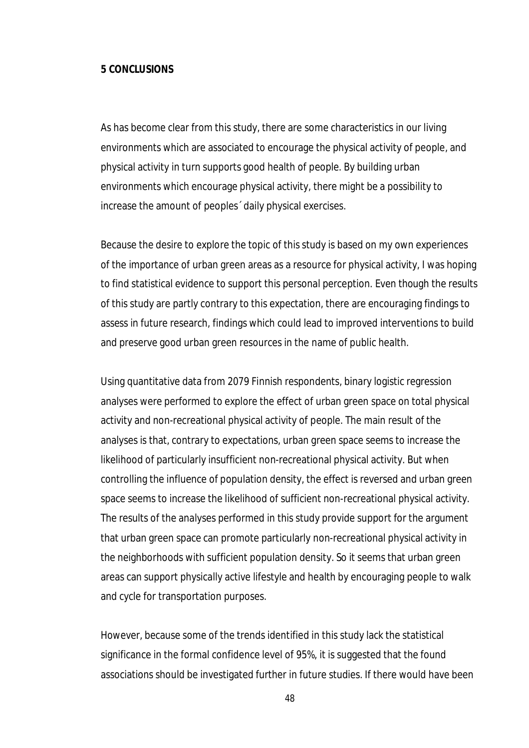#### **5 CONCLUSIONS**

As has become clear from this study, there are some characteristics in our living environments which are associated to encourage the physical activity of people, and physical activity in turn supports good health of people. By building urban environments which encourage physical activity, there might be a possibility to increase the amount of peoples´ daily physical exercises.

Because the desire to explore the topic of this study is based on my own experiences of the importance of urban green areas as a resource for physical activity, I was hoping to find statistical evidence to support this personal perception. Even though the results of this study are partly contrary to this expectation, there are encouraging findings to assess in future research, findings which could lead to improved interventions to build and preserve good urban green resources in the name of public health.

Using quantitative data from 2079 Finnish respondents, binary logistic regression analyses were performed to explore the effect of urban green space on total physical activity and non-recreational physical activity of people. The main result of the analyses is that, contrary to expectations, urban green space seems to increase the likelihood of particularly insufficient non-recreational physical activity. But when controlling the influence of population density, the effect is reversed and urban green space seems to increase the likelihood of sufficient non-recreational physical activity. The results of the analyses performed in this study provide support for the argument that urban green space can promote particularly non-recreational physical activity in the neighborhoods with sufficient population density. So it seems that urban green areas can support physically active lifestyle and health by encouraging people to walk and cycle for transportation purposes.

However, because some of the trends identified in this study lack the statistical significance in the formal confidence level of 95%, it is suggested that the found associations should be investigated further in future studies. If there would have been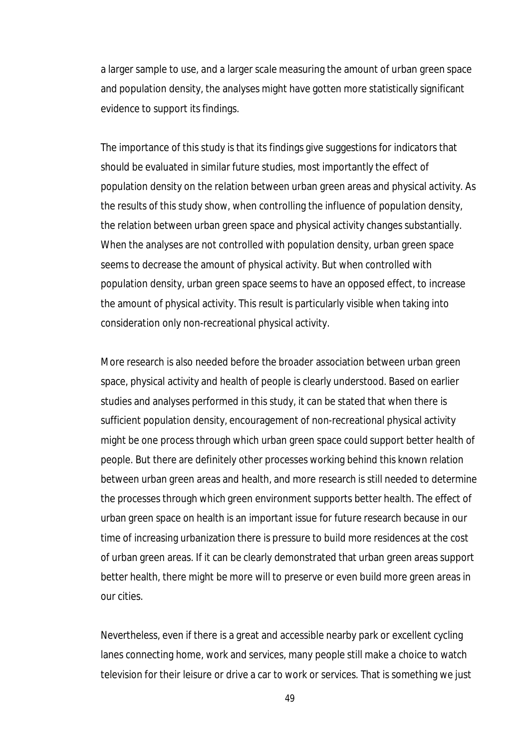a larger sample to use, and a larger scale measuring the amount of urban green space and population density, the analyses might have gotten more statistically significant evidence to support its findings.

The importance of this study is that its findings give suggestions for indicators that should be evaluated in similar future studies, most importantly the effect of population density on the relation between urban green areas and physical activity. As the results of this study show, when controlling the influence of population density, the relation between urban green space and physical activity changes substantially. When the analyses are not controlled with population density, urban green space seems to decrease the amount of physical activity. But when controlled with population density, urban green space seems to have an opposed effect, to increase the amount of physical activity. This result is particularly visible when taking into consideration only non-recreational physical activity.

More research is also needed before the broader association between urban green space, physical activity and health of people is clearly understood. Based on earlier studies and analyses performed in this study, it can be stated that when there is sufficient population density, encouragement of non-recreational physical activity might be one process through which urban green space could support better health of people. But there are definitely other processes working behind this known relation between urban green areas and health, and more research is still needed to determine the processes through which green environment supports better health. The effect of urban green space on health is an important issue for future research because in our time of increasing urbanization there is pressure to build more residences at the cost of urban green areas. If it can be clearly demonstrated that urban green areas support better health, there might be more will to preserve or even build more green areas in our cities.

Nevertheless, even if there is a great and accessible nearby park or excellent cycling lanes connecting home, work and services, many people still make a choice to watch television for their leisure or drive a car to work or services. That is something we just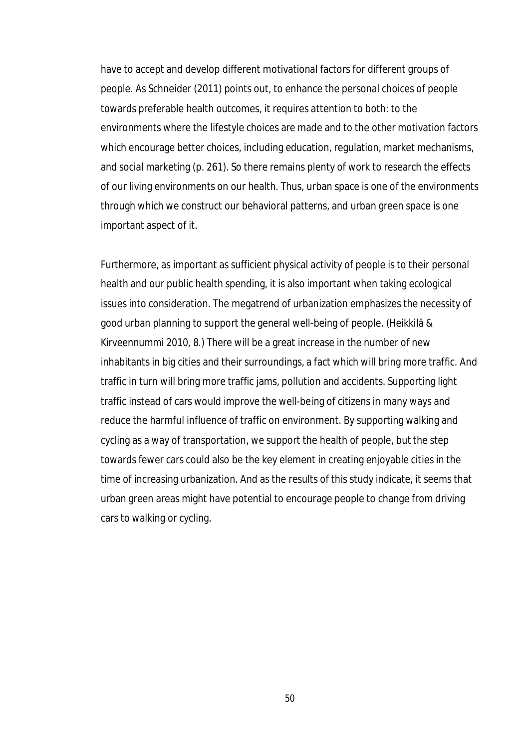have to accept and develop different motivational factors for different groups of people. As Schneider (2011) points out, to enhance the personal choices of people towards preferable health outcomes, it requires attention to both: to the environments where the lifestyle choices are made and to the other motivation factors which encourage better choices, including education, regulation, market mechanisms, and social marketing (p. 261). So there remains plenty of work to research the effects of our living environments on our health. Thus, urban space is one of the environments through which we construct our behavioral patterns, and urban green space is one important aspect of it.

Furthermore, as important as sufficient physical activity of people is to their personal health and our public health spending, it is also important when taking ecological issues into consideration. The megatrend of urbanization emphasizes the necessity of good urban planning to support the general well-being of people. (Heikkilä & Kirveennummi 2010, 8.) There will be a great increase in the number of new inhabitants in big cities and their surroundings, a fact which will bring more traffic. And traffic in turn will bring more traffic jams, pollution and accidents. Supporting light traffic instead of cars would improve the well-being of citizens in many ways and reduce the harmful influence of traffic on environment. By supporting walking and cycling as a way of transportation, we support the health of people, but the step towards fewer cars could also be the key element in creating enjoyable cities in the time of increasing urbanization. And as the results of this study indicate, it seems that urban green areas might have potential to encourage people to change from driving cars to walking or cycling.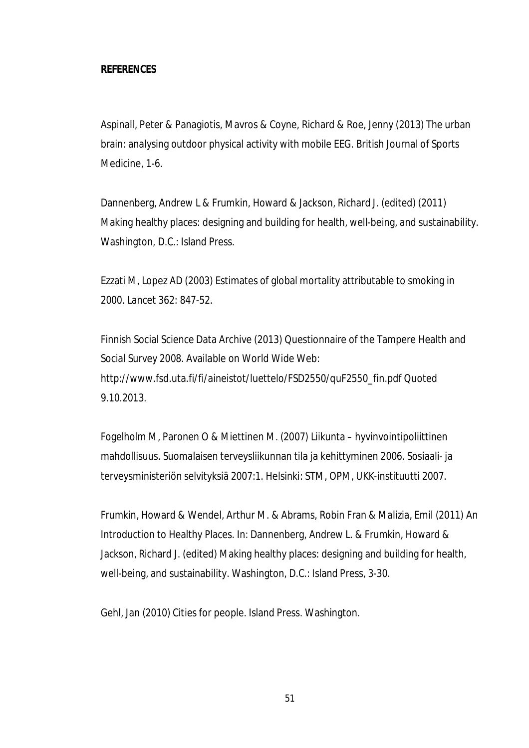## **REFERENCES**

Aspinall, Peter & Panagiotis, Mavros & Coyne, Richard & Roe, Jenny (2013) The urban brain: analysing outdoor physical activity with mobile EEG. British Journal of Sports Medicine, 1-6.

Dannenberg, Andrew L & Frumkin, Howard & Jackson, Richard J. (edited) (2011) Making healthy places: designing and building for health, well-being, and sustainability. Washington, D.C.: Island Press.

Ezzati M, Lopez AD (2003) Estimates of global mortality attributable to smoking in 2000. Lancet 362: 847-52.

Finnish Social Science Data Archive (2013) Questionnaire of the Tampere Health and Social Survey 2008. Available on World Wide Web: http://www.fsd.uta.fi/fi/aineistot/luettelo/FSD2550/quF2550\_fin.pdf Quoted 9.10.2013.

Fogelholm M, Paronen O & Miettinen M. (2007) Liikunta – hyvinvointipoliittinen mahdollisuus. Suomalaisen terveysliikunnan tila ja kehittyminen 2006. Sosiaali- ja terveysministeriön selvityksiä 2007:1. Helsinki: STM, OPM, UKK-instituutti 2007.

Frumkin, Howard & Wendel, Arthur M. & Abrams, Robin Fran & Malizia, Emil (2011) An Introduction to Healthy Places. In: Dannenberg, Andrew L. & Frumkin, Howard & Jackson, Richard J. (edited) Making healthy places: designing and building for health, well-being, and sustainability. Washington, D.C.: Island Press, 3-30.

Gehl, Jan (2010) Cities for people. Island Press. Washington.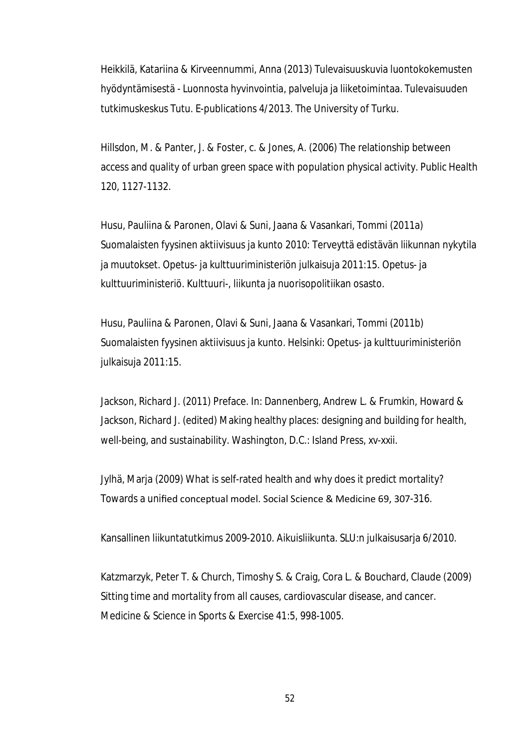Heikkilä, Katariina & Kirveennummi, Anna (2013) Tulevaisuuskuvia luontokokemusten hyödyntämisestä - Luonnosta hyvinvointia, palveluja ja liiketoimintaa. Tulevaisuuden tutkimuskeskus Tutu. E-publications 4/2013. The University of Turku.

Hillsdon, M. & Panter, J. & Foster, c. & Jones, A. (2006) The relationship between access and quality of urban green space with population physical activity. Public Health 120, 1127-1132.

Husu, Pauliina & Paronen, Olavi & Suni, Jaana & Vasankari, Tommi (2011a) Suomalaisten fyysinen aktiivisuus ja kunto 2010: Terveyttä edistävän liikunnan nykytila ja muutokset. Opetus- ja kulttuuriministeriön julkaisuja 2011:15. Opetus- ja kulttuuriministeriö. Kulttuuri-, liikunta ja nuorisopolitiikan osasto.

Husu, Pauliina & Paronen, Olavi & Suni, Jaana & Vasankari, Tommi (2011b) Suomalaisten fyysinen aktiivisuus ja kunto. Helsinki: Opetus- ja kulttuuriministeriön julkaisuja 2011:15.

Jackson, Richard J. (2011) Preface. In: Dannenberg, Andrew L. & Frumkin, Howard & Jackson, Richard J. (edited) Making healthy places: designing and building for health, well-being, and sustainability. Washington, D.C.: Island Press, xv-xxii.

Jylhä, Marja (2009) What is self-rated health and why does it predict mortality? Towards a unified conceptual model. Social Science & Medicine 69, 307-316.

Kansallinen liikuntatutkimus 2009-2010. Aikuisliikunta. SLU:n julkaisusarja 6/2010.

Katzmarzyk, Peter T. & Church, Timoshy S. & Craig, Cora L. & Bouchard, Claude (2009) Sitting time and mortality from all causes, cardiovascular disease, and cancer. Medicine & Science in Sports & Exercise 41:5, 998-1005.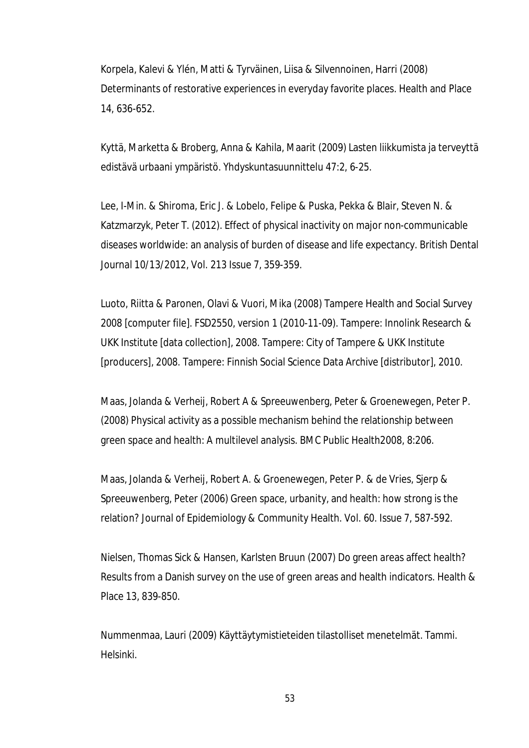Korpela, Kalevi & Ylén, Matti & Tyrväinen, Liisa & Silvennoinen, Harri (2008) Determinants of restorative experiences in everyday favorite places. Health and Place 14, 636-652.

Kyttä, Marketta & Broberg, Anna & Kahila, Maarit (2009) Lasten liikkumista ja terveyttä edistävä urbaani ympäristö. Yhdyskuntasuunnittelu 47:2, 6-25.

Lee, I-Min. & Shiroma, Eric J. & Lobelo, Felipe & Puska, Pekka & Blair, Steven N. & Katzmarzyk, Peter T. (2012). Effect of physical inactivity on major non-communicable diseases worldwide: an analysis of burden of disease and life expectancy. British Dental Journal 10/13/2012, Vol. 213 Issue 7, 359-359.

Luoto, Riitta & Paronen, Olavi & Vuori, Mika (2008) Tampere Health and Social Survey 2008 [computer file]. FSD2550, version 1 (2010-11-09). Tampere: Innolink Research & UKK Institute [data collection], 2008. Tampere: City of Tampere & UKK Institute [producers], 2008. Tampere: Finnish Social Science Data Archive [distributor], 2010.

Maas, Jolanda & Verheij, Robert A & Spreeuwenberg, Peter & Groenewegen, Peter P. (2008) Physical activity as a possible mechanism behind the relationship between green space and health: A multilevel analysis. BMC Public Health2008, 8:206.

Maas, Jolanda & Verheij, Robert A. & Groenewegen, Peter P. & de Vries, Sjerp & Spreeuwenberg, Peter (2006) Green space, urbanity, and health: how strong is the relation? Journal of Epidemiology & Community Health. Vol. 60. Issue 7, 587-592.

Nielsen, Thomas Sick & Hansen, Karlsten Bruun (2007) Do green areas affect health? Results from a Danish survey on the use of green areas and health indicators. Health & Place 13, 839-850.

Nummenmaa, Lauri (2009) Käyttäytymistieteiden tilastolliset menetelmät. Tammi. Helsinki.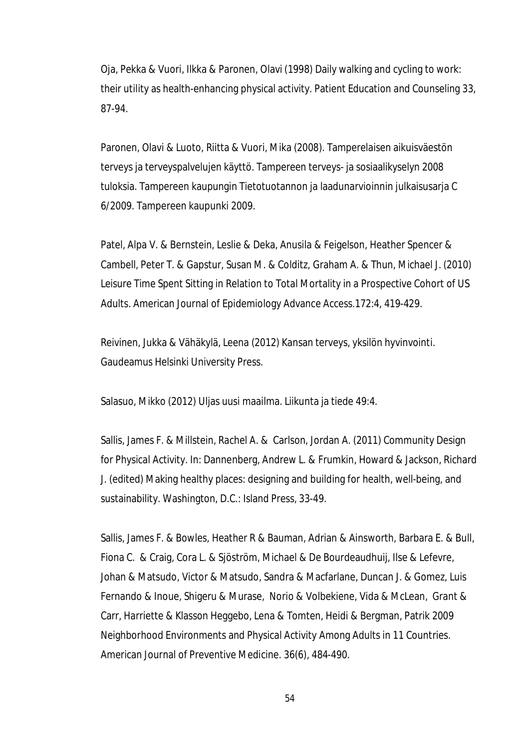Oja, Pekka & Vuori, Ilkka & Paronen, Olavi (1998) Daily walking and cycling to work: their utility as health-enhancing physical activity. Patient Education and Counseling 33, 87-94.

Paronen, Olavi & Luoto, Riitta & Vuori, Mika (2008). Tamperelaisen aikuisväestön terveys ja terveyspalvelujen käyttö. Tampereen terveys- ja sosiaalikyselyn 2008 tuloksia. Tampereen kaupungin Tietotuotannon ja laadunarvioinnin julkaisusarja C 6/2009. Tampereen kaupunki 2009.

Patel, Alpa V. & Bernstein, Leslie & Deka, Anusila & Feigelson, Heather Spencer & Cambell, Peter T. & Gapstur, Susan M. & Colditz, Graham A. & Thun, Michael J. (2010) Leisure Time Spent Sitting in Relation to Total Mortality in a Prospective Cohort of US Adults. American Journal of Epidemiology Advance Access.172:4, 419-429.

Reivinen, Jukka & Vähäkylä, Leena (2012) Kansan terveys, yksilön hyvinvointi. Gaudeamus Helsinki University Press.

Salasuo, Mikko (2012) Uljas uusi maailma. Liikunta ja tiede 49:4.

Sallis, James F. & Millstein, Rachel A. & Carlson, Jordan A. (2011) Community Design for Physical Activity. In: Dannenberg, Andrew L. & Frumkin, Howard & Jackson, Richard J. (edited) Making healthy places: designing and building for health, well-being, and sustainability. Washington, D.C.: Island Press, 33-49.

Sallis, James F. & Bowles, Heather R & Bauman, Adrian & Ainsworth, Barbara E. & Bull, Fiona C. & Craig, Cora L. & Sjöström, Michael & De Bourdeaudhuij, Ilse & Lefevre, Johan & Matsudo, Victor & Matsudo, Sandra & Macfarlane, Duncan J. & Gomez, Luis Fernando & Inoue, Shigeru & Murase, Norio & Volbekiene, Vida & McLean, Grant & Carr, Harriette & Klasson Heggebo, Lena & Tomten, Heidi & Bergman, Patrik 2009 Neighborhood Environments and Physical Activity Among Adults in 11 Countries. American Journal of Preventive Medicine. 36(6), 484-490.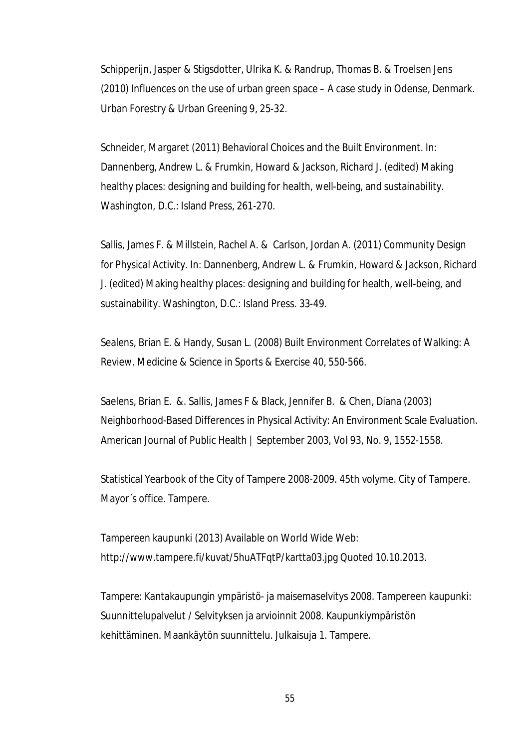Schipperijn, Jasper & Stigsdotter, Ulrika K. & Randrup, Thomas B. & Troelsen Jens (2010) Influences on the use of urban green space – A case study in Odense, Denmark. Urban Forestry & Urban Greening 9, 25-32.

Schneider, Margaret (2011) Behavioral Choices and the Built Environment. In: Dannenberg, Andrew L. & Frumkin, Howard & Jackson, Richard J. (edited) Making healthy places: designing and building for health, well-being, and sustainability. Washington, D.C.: Island Press, 261-270.

Sallis, James F. & Millstein, Rachel A. & Carlson, Jordan A. (2011) Community Design for Physical Activity. In: Dannenberg, Andrew L. & Frumkin, Howard & Jackson, Richard J. (edited) Making healthy places: designing and building for health, well-being, and sustainability. Washington, D.C.: Island Press. 33-49.

Sealens, Brian E. & Handy, Susan L. (2008) Built Environment Correlates of Walking: A Review. Medicine & Science in Sports & Exercise 40, 550-566.

Saelens, Brian E. &. Sallis, James F & Black, Jennifer B. & Chen, Diana (2003) Neighborhood-Based Differences in Physical Activity: An Environment Scale Evaluation. American Journal of Public Health | September 2003, Vol 93, No. 9, 1552-1558.

Statistical Yearbook of the City of Tampere 2008-2009. 45th volyme. City of Tampere. Mayor´s office. Tampere.

Tampereen kaupunki (2013) Available on World Wide Web: http://www.tampere.fi/kuvat/5huATFqtP/kartta03.jpg Quoted 10.10.2013.

Tampere: Kantakaupungin ympäristö- ja maisemaselvitys 2008. Tampereen kaupunki: Suunnittelupalvelut / Selvityksen ja arvioinnit 2008. Kaupunkiympäristön kehittäminen. Maankäytön suunnittelu. Julkaisuja 1. Tampere.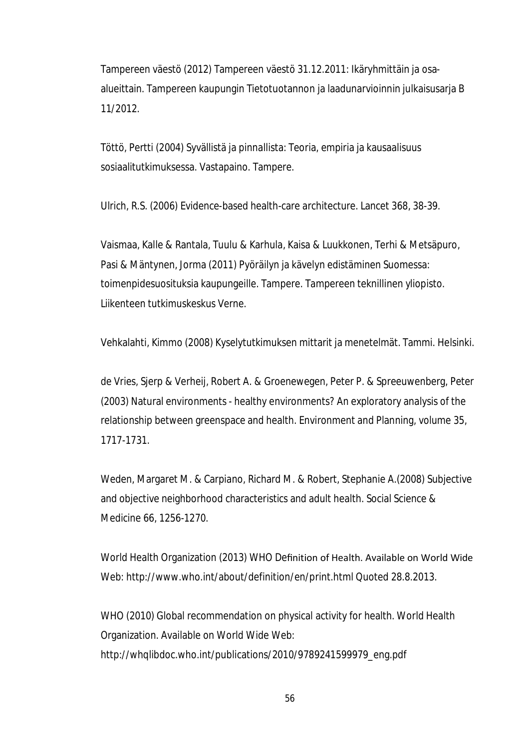Tampereen väestö (2012) Tampereen väestö 31.12.2011: Ikäryhmittäin ja osaalueittain. Tampereen kaupungin Tietotuotannon ja laadunarvioinnin julkaisusarja B 11/2012.

Töttö, Pertti (2004) Syvällistä ja pinnallista: Teoria, empiria ja kausaalisuus sosiaalitutkimuksessa. Vastapaino. Tampere.

Ulrich, R.S. (2006) Evidence-based health-care architecture. Lancet 368, 38-39.

Vaismaa, Kalle & Rantala, Tuulu & Karhula, Kaisa & Luukkonen, Terhi & Metsäpuro, Pasi & Mäntynen, Jorma (2011) Pyöräilyn ja kävelyn edistäminen Suomessa: toimenpidesuosituksia kaupungeille. Tampere. Tampereen teknillinen yliopisto. Liikenteen tutkimuskeskus Verne.

Vehkalahti, Kimmo (2008) Kyselytutkimuksen mittarit ja menetelmät. Tammi. Helsinki.

de Vries, Sjerp & Verheij, Robert A. & Groenewegen, Peter P. & Spreeuwenberg, Peter (2003) Natural environments - healthy environments? An exploratory analysis of the relationship between greenspace and health. Environment and Planning, volume 35, 1717-1731.

Weden, Margaret M. & Carpiano, Richard M. & Robert, Stephanie A.(2008) Subjective and objective neighborhood characteristics and adult health. Social Science & Medicine 66, 1256-1270.

World Health Organization (2013) WHO Definition of Health. Available on World Wide Web: http://www.who.int/about/definition/en/print.html Quoted 28.8.2013.

WHO (2010) Global recommendation on physical activity for health. World Health Organization. Available on World Wide Web: http://whqlibdoc.who.int/publications/2010/9789241599979\_eng.pdf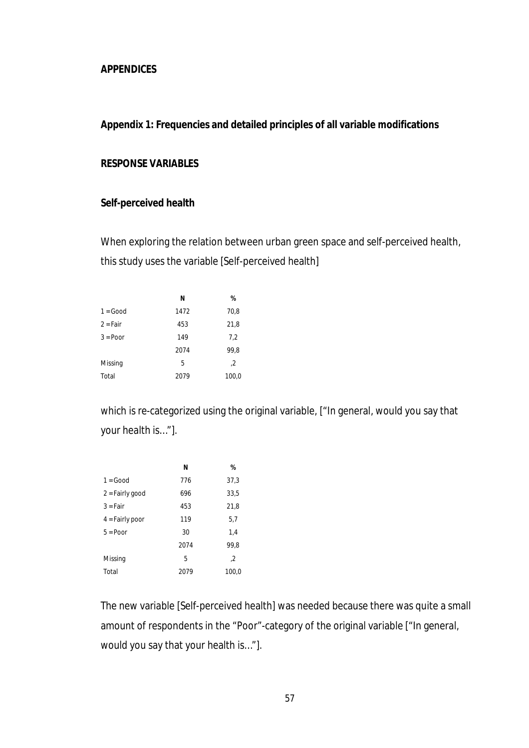## **APPENDICES**

### **Appendix 1: Frequencies and detailed principles of all variable modifications**

## **RESPONSE VARIABLES**

#### **Self-perceived health**

When exploring the relation between urban green space and self-perceived health, this study uses the variable [Self-perceived health]

|            | N    | %     |
|------------|------|-------|
| $1 = Good$ | 1472 | 70,8  |
| $2 = Fair$ | 453  | 21,8  |
| $3 =$ Poor | 149  | 7,2   |
|            | 2074 | 99,8  |
| Missing    | 5    | 2,    |
| Total      | 2079 | 100,0 |

which is re-categorized using the original variable, ["In general, would you say that your health is…"].

|                   | N    | %     |
|-------------------|------|-------|
| $1 = Good$        | 776  | 37,3  |
| $2 =$ Fairly good | 696  | 33,5  |
| $3 = Fair$        | 453  | 21,8  |
| $4 =$ Fairly poor | 119  | 5,7   |
| $5 = Poor$        | 30   | 1.4   |
|                   | 2074 | 99,8  |
| Missing           | 5    | 2,    |
| Total             | 2079 | 100,0 |

The new variable [Self-perceived health] was needed because there was quite a small amount of respondents in the "Poor"-category of the original variable ["In general, would you say that your health is…"].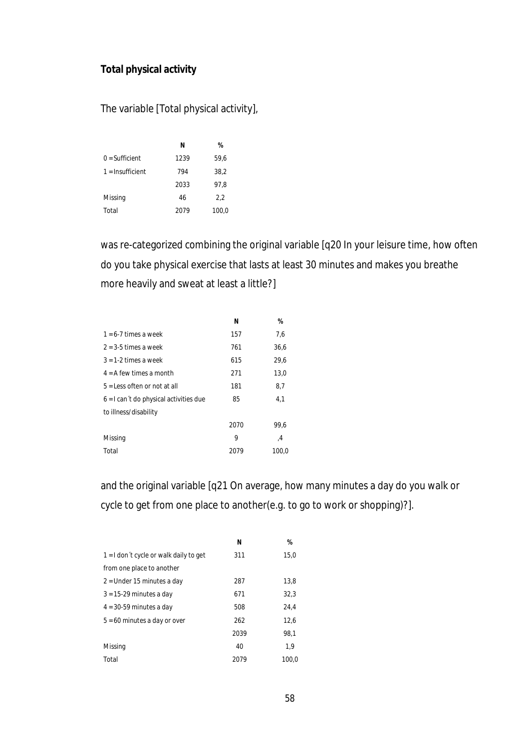# **Total physical activity**

The variable [Total physical activity],

|                    | N    | %     |
|--------------------|------|-------|
| $0 =$ Sufficient   | 1239 | 59,6  |
| $1 =$ Insufficient | 794  | 38,2  |
|                    | 2033 | 97,8  |
| Missing            | 46   | 2,2   |
| Total              | 2079 | 100,0 |

was re-categorized combining the original variable [q20 In your leisure time, how often do you take physical exercise that lasts at least 30 minutes and makes you breathe more heavily and sweat at least a little?]

|                                          | Ν    | %     |
|------------------------------------------|------|-------|
| $1 = 6 - 7$ times a week                 | 157  | 7,6   |
| $2 = 3-5$ times a week                   | 761  | 36,6  |
| $3 = 1-2$ times a week                   | 615  | 29.6  |
| $4 = A$ few times a month                | 271  | 13,0  |
| $5 =$ Less often or not at all           | 181  | 8,7   |
| $6 = 1$ can't do physical activities due | 85   | 4.1   |
| to illness/disability                    |      |       |
|                                          | 2070 | 99.6  |
| Missing                                  | 9    | 4,    |
| Total                                    | 2079 | 100.0 |

and the original variable [q21 On average, how many minutes a day do you walk or cycle to get from one place to another(e.g. to go to work or shopping)?].

|                                        | Ν    | %     |
|----------------------------------------|------|-------|
| 1 = I don't cycle or walk daily to get | 311  | 15,0  |
| from one place to another              |      |       |
| 2 = Under 15 minutes a day             | 287  | 13.8  |
| $3 = 15-29$ minutes a day              | 671  | 32,3  |
| $4 = 30-59$ minutes a day              | 508  | 24.4  |
| $5 = 60$ minutes a day or over         | 262  | 12.6  |
|                                        | 2039 | 98.1  |
| Missing                                | 40   | 1.9   |
| Total                                  | 2079 | 100.0 |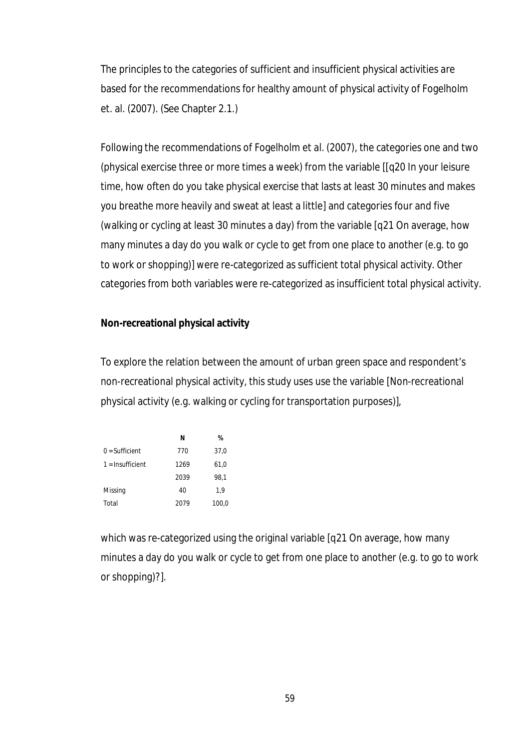The principles to the categories of sufficient and insufficient physical activities are based for the recommendations for healthy amount of physical activity of Fogelholm et. al. (2007). (See Chapter 2.1.)

Following the recommendations of Fogelholm et al. (2007), the categories one and two (physical exercise three or more times a week) from the variable [[q20 In your leisure time, how often do you take physical exercise that lasts at least 30 minutes and makes you breathe more heavily and sweat at least a little] and categories four and five (walking or cycling at least 30 minutes a day) from the variable [q21 On average, how many minutes a day do you walk or cycle to get from one place to another (e.g. to go to work or shopping)] were re-categorized as sufficient total physical activity. Other categories from both variables were re-categorized as insufficient total physical activity.

## **Non-recreational physical activity**

To explore the relation between the amount of urban green space and respondent's non-recreational physical activity, this study uses use the variable [Non-recreational physical activity (e.g. walking or cycling for transportation purposes)],

|                    | N    | %     |
|--------------------|------|-------|
| $0 = Sufficient$   | 770  | 37,0  |
| $1 =$ Insufficient | 1269 | 61,0  |
|                    | 2039 | 98,1  |
| Missing            | 40   | 1.9   |
| Total              | 2079 | 100,0 |

which was re-categorized using the original variable [q21 On average, how many minutes a day do you walk or cycle to get from one place to another (e.g. to go to work or shopping)?].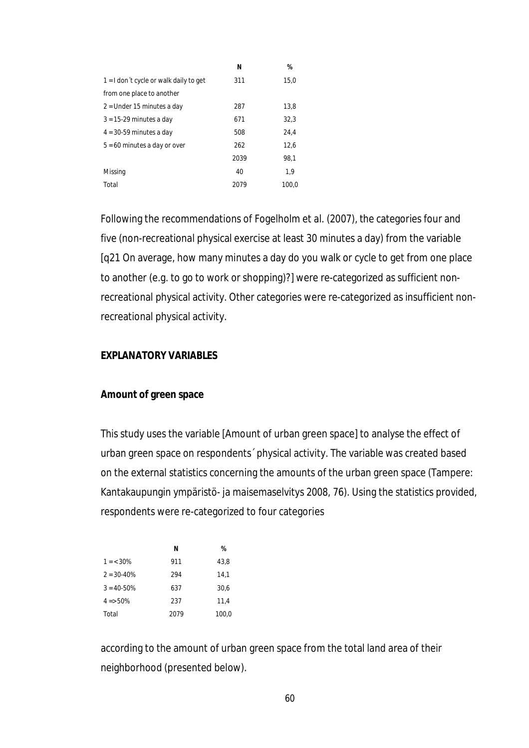|                                        | Ν    | %     |
|----------------------------------------|------|-------|
| 1 = I don't cycle or walk daily to get | 311  | 15,0  |
| from one place to another              |      |       |
| 2 = Under 15 minutes a day             | 287  | 13,8  |
| $3 = 15-29$ minutes a day              | 671  | 32,3  |
| $4 = 30-59$ minutes a day              | 508  | 24,4  |
| $5 = 60$ minutes a day or over         | 262  | 12,6  |
|                                        | 2039 | 98,1  |
| Missing                                | 40   | 1,9   |
| Total                                  | 2079 | 100.0 |

Following the recommendations of Fogelholm et al. (2007), the categories four and five (non-recreational physical exercise at least 30 minutes a day) from the variable [q21 On average, how many minutes a day do you walk or cycle to get from one place to another (e.g. to go to work or shopping)?] were re-categorized as sufficient nonrecreational physical activity. Other categories were re-categorized as insufficient nonrecreational physical activity.

## **EXPLANATORY VARIABLES**

### **Amount of green space**

This study uses the variable [Amount of urban green space] to analyse the effect of urban green space on respondents´ physical activity. The variable was created based on the external statistics concerning the amounts of the urban green space (Tampere: Kantakaupungin ympäristö- ja maisemaselvitys 2008, 76). Using the statistics provided, respondents were re-categorized to four categories

|                 | N    | %     |
|-----------------|------|-------|
| $1 = < 30\%$    | 911  | 43.8  |
| $2 = 30 - 40\%$ | 294  | 14,1  |
| $3 = 40 - 50\%$ | 637  | 30,6  |
| $4 = 50\%$      | 237  | 11.4  |
| Total           | 2079 | 100.0 |

according to the amount of urban green space from the total land area of their neighborhood (presented below).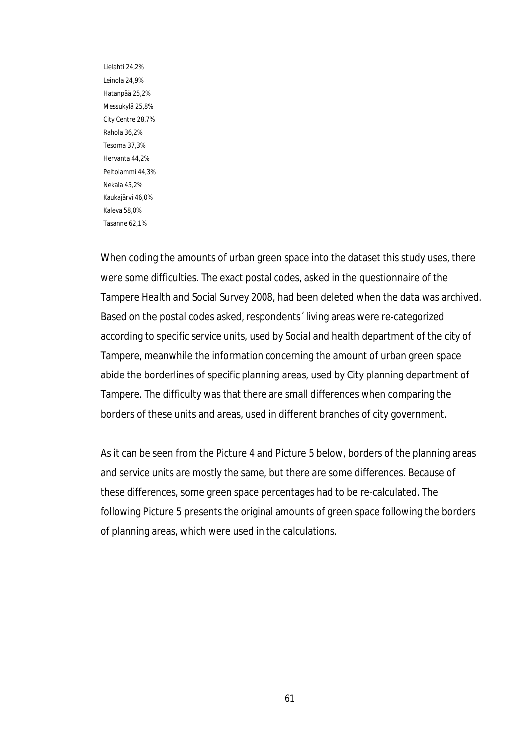Lielahti 24,2% Leinola 24,9% Hatanpää 25,2% Messukylä 25,8% City Centre 28,7% Rahola 36,2% Tesoma 37,3% Hervanta 44,2% Peltolammi 44,3% Nekala 45,2% Kaukajärvi 46,0% Kaleva 58,0% Tasanne 62,1%

When coding the amounts of urban green space into the dataset this study uses, there were some difficulties. The exact postal codes, asked in the questionnaire of the Tampere Health and Social Survey 2008, had been deleted when the data was archived. Based on the postal codes asked, respondents´ living areas were re-categorized according to specific *service units*, used by Social and health department of the city of Tampere, meanwhile the information concerning the amount of urban green space abide the borderlines of specific *planning areas*, used by City planning department of Tampere. The difficulty was that there are small differences when comparing the borders of these units and areas, used in different branches of city government.

As it can be seen from the Picture 4 and Picture 5 below, borders of the planning areas and service units are mostly the same, but there are some differences. Because of these differences, some green space percentages had to be re-calculated. The following Picture 5 presents the original amounts of green space following the borders of planning areas, which were used in the calculations.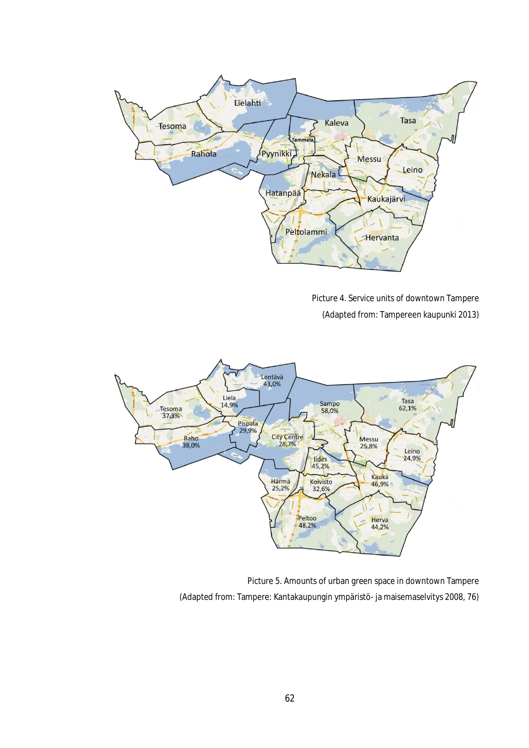

Picture 4. Service units of downtown Tampere (Adapted from: Tampereen kaupunki 2013)



Picture 5. Amounts of urban green space in downtown Tampere (Adapted from: Tampere: Kantakaupungin ympäristö- ja maisemaselvitys 2008, 76)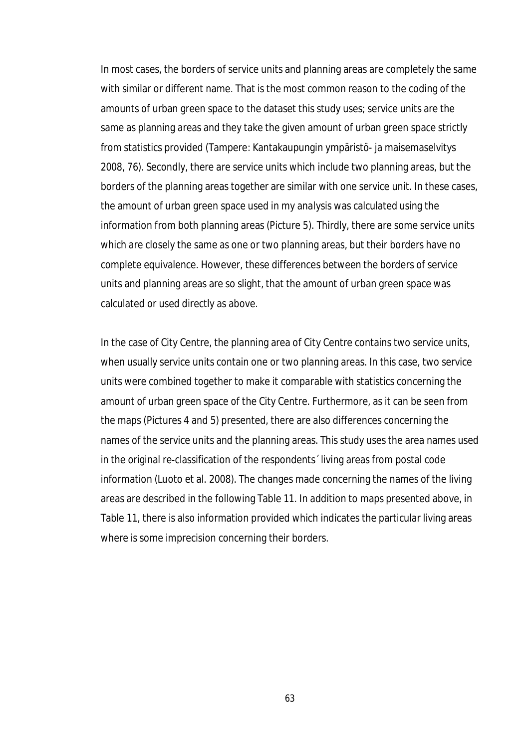In most cases, the borders of service units and planning areas are completely the same with similar or different name. That is the most common reason to the coding of the amounts of urban green space to the dataset this study uses; service units are the same as planning areas and they take the given amount of urban green space strictly from statistics provided (Tampere: Kantakaupungin ympäristö- ja maisemaselvitys 2008, 76). Secondly, there are service units which include two planning areas, but the borders of the planning areas together are similar with one service unit. In these cases, the amount of urban green space used in my analysis was calculated using the information from both planning areas (Picture 5). Thirdly, there are some service units which are closely the same as one or two planning areas, but their borders have no complete equivalence. However, these differences between the borders of service units and planning areas are so slight, that the amount of urban green space was calculated or used directly as above.

In the case of City Centre, the planning area of City Centre contains two service units, when usually service units contain one or two planning areas. In this case, two service units were combined together to make it comparable with statistics concerning the amount of urban green space of the City Centre. Furthermore, as it can be seen from the maps (Pictures 4 and 5) presented, there are also differences concerning the names of the service units and the planning areas. This study uses the area names used in the original re-classification of the respondents´ living areas from postal code information (Luoto et al. 2008). The changes made concerning the names of the living areas are described in the following Table 11. In addition to maps presented above, in Table 11, there is also information provided which indicates the particular living areas where is some imprecision concerning their borders.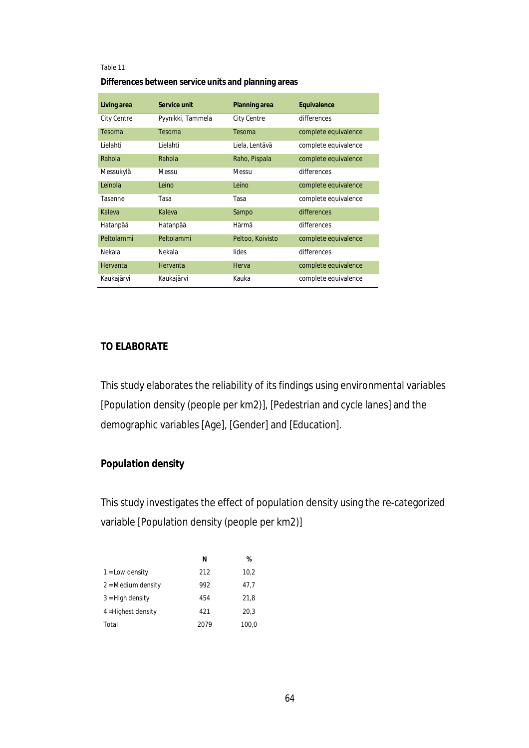#### Table 11:

**Differences between service units and planning areas**

| Living area | Service unit      | <b>Planning area</b> | <b>Equivalence</b>   |
|-------------|-------------------|----------------------|----------------------|
| City Centre | Pyynikki, Tammela | <b>City Centre</b>   | differences          |
| Tesoma      | Tesoma            | Tesoma               | complete equivalence |
| Lielahti    | Lielahti          | Liela, Lentävä       | complete equivalence |
| Rahola      | Rahola            | Raho, Pispala        | complete equivalence |
| Messukylä   | Messu             | Messu                | differences          |
| Leinola     | Leino             | Leino                | complete equivalence |
| Tasanne     | Tasa              | Tasa                 | complete equivalence |
| Kaleva      | Kaleva            | Sampo                | differences          |
| Hatanpää    | Hatanpää          | Härmä                | differences          |
| Peltolammi  | Peltolammi        | Peltoo, Koivisto     | complete equivalence |
| Nekala      | Nekala            | lides                | differences          |
| Hervanta    | Hervanta          | Herva                | complete equivalence |
| Kaukajärvi  | Kaukajärvi        | Kauka                | complete equivalence |

# **TO ELABORATE**

This study elaborates the reliability of its findings using environmental variables [Population density (people per km2)], [Pedestrian and cycle lanes] and the demographic variables [Age], [Gender] and [Education].

# **Population density**

This study investigates the effect of population density using the re-categorized variable [Population density (people per km2)]

|                             | N    | %     |
|-----------------------------|------|-------|
| $1 =$ Low density           | 212  | 10,2  |
| $2 = \text{Median density}$ | 992  | 47,7  |
| $3 =$ High density          | 454  | 21,8  |
| 4 = Highest density         | 421  | 20.3  |
| Total                       | 2079 | 100,0 |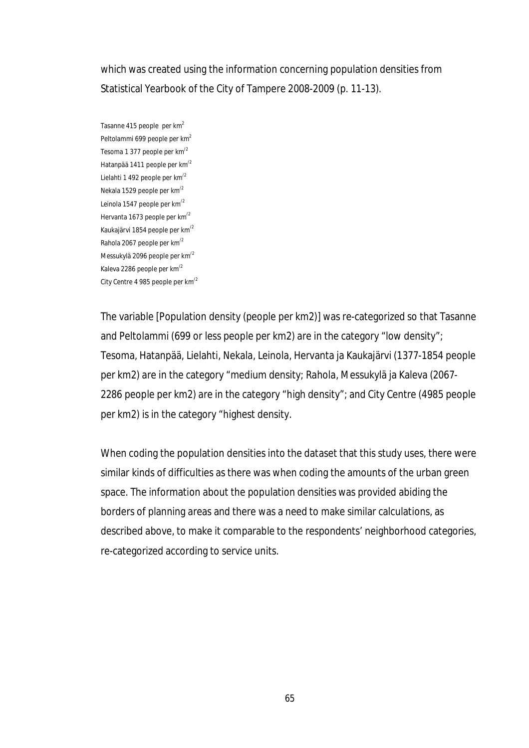which was created using the information concerning population densities from Statistical Yearbook of the City of Tampere 2008-2009 (p. 11-13).

Tasanne 415 people per km<sup>2</sup> Peltolammi 699 people per km<sup>2</sup> Tesoma 1 377 people per km/2 Hatanpää 1411 people per km/2 Lielahti 1 492 people per km/2 Nekala 1529 people per km/2 Leinola 1547 people per km/2 Hervanta 1673 people per km/2 Kaukajärvi 1854 people per km/2 Rahola 2067 people per km/2 Messukylä 2096 people per km/2 Kaleva 2286 people per km/2 City Centre 4 985 people per km/2

The variable [Population density (people per km2)] was re-categorized so that Tasanne and Peltolammi (699 or less people per km2) are in the category "low density"; Tesoma, Hatanpää, Lielahti, Nekala, Leinola, Hervanta ja Kaukajärvi (1377-1854 people per km2) are in the category "medium density; Rahola, Messukylä ja Kaleva (2067- 2286 people per km2) are in the category "high density"; and City Centre (4985 people per km2) is in the category "highest density.

When coding the population densities into the dataset that this study uses, there were similar kinds of difficulties as there was when coding the amounts of the urban green space. The information about the population densities was provided abiding the borders of planning areas and there was a need to make similar calculations, as described above, to make it comparable to the respondents' neighborhood categories, re-categorized according to service units.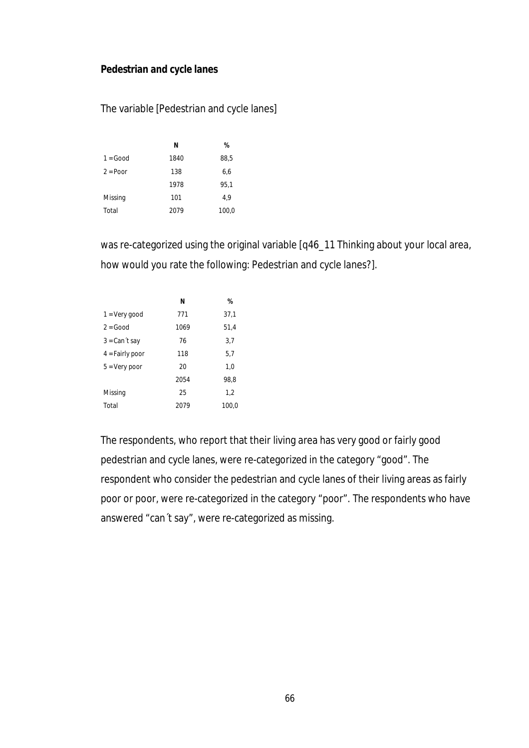## **Pedestrian and cycle lanes**

## The variable [Pedestrian and cycle lanes]

|             | N    | %     |
|-------------|------|-------|
| $1 = Good$  | 1840 | 88,5  |
| $2 = P$ oor | 138  | 6,6   |
|             | 1978 | 95,1  |
| Missing     | 101  | 4.9   |
| Total       | 2079 | 100,0 |

was re-categorized using the original variable [q46\_11 Thinking about your local area, how would you rate the following: Pedestrian and cycle lanes?].

|                   | N    | %     |
|-------------------|------|-------|
| $1 = V$ ery good  | 771  | 37,1  |
| $2 = Good$        | 1069 | 51,4  |
| $3 = Can't say$   | 76   | 3,7   |
| $4 =$ Fairly poor | 118  | 5,7   |
| $5 = Very poor$   | 20   | 1.0   |
|                   | 2054 | 98.8  |
| Missing           | 25   | 1,2   |
| Total             | 2079 | 100.0 |

The respondents, who report that their living area has very good or fairly good pedestrian and cycle lanes, were re-categorized in the category "good". The respondent who consider the pedestrian and cycle lanes of their living areas as fairly poor or poor, were re-categorized in the category "poor". The respondents who have answered "can´t say", were re-categorized as missing.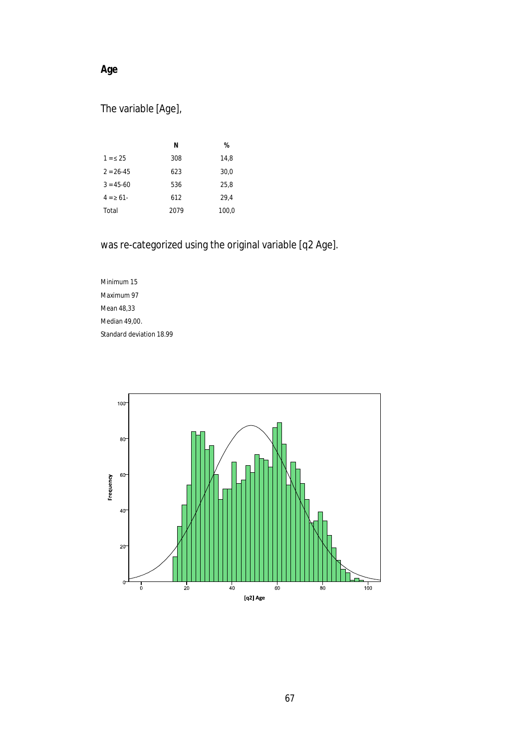# **Age**

# The variable [Age],

|               | N    | %     |
|---------------|------|-------|
| $1 = 5.25$    | 308  | 14,8  |
| $2 = 26 - 45$ | 623  | 30,0  |
| $3 = 45 - 60$ | 536  | 25.8  |
| $4 = \ge 61$  | 612  | 29.4  |
| Total         | 2079 | 100,0 |

was re-categorized using the original variable [q2 Age].

Minimum 15 Maximum 97 Mean 48,33 Median 49,00. Standard deviation 18.99

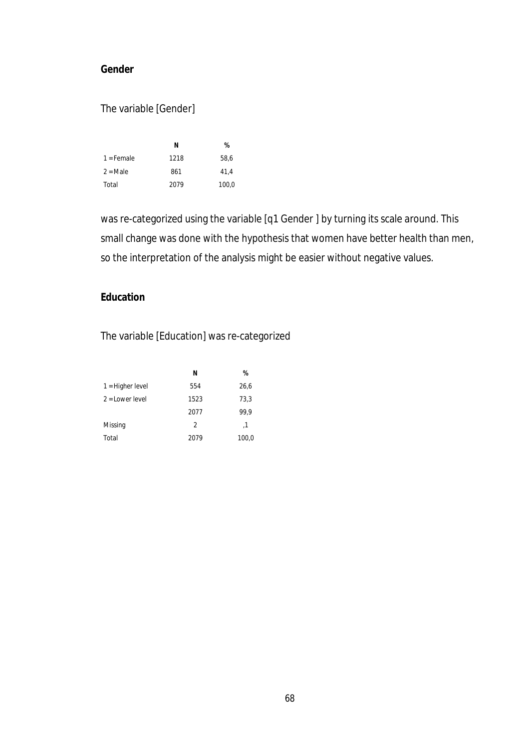# **Gender**

# The variable [Gender]

|              | N    | %     |
|--------------|------|-------|
| $1 =$ Female | 1218 | 58.6  |
| $2 = Male$   | 861  | 41.4  |
| Total        | 2079 | 100,0 |

was re-categorized using the variable [q1 Gender ] by turning its scale around. This small change was done with the hypothesis that women have better health than men, so the interpretation of the analysis might be easier without negative values.

## **Education**

The variable [Education] was re-categorized

|                    | N             | %     |
|--------------------|---------------|-------|
| $1 =$ Higher level | 554           | 26,6  |
| $2 =$ Lower level  | 1523          | 73,3  |
|                    | 2077          | 99.9  |
| Missing            | $\mathcal{P}$ | ,1    |
| Total              | 2079          | 100,0 |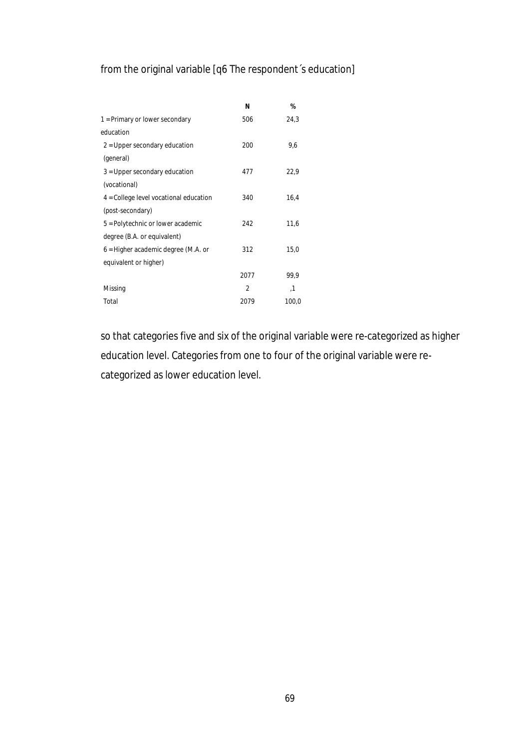# from the original variable [q6 The respondent´s education]

|                                          | N              | %     |
|------------------------------------------|----------------|-------|
| 1 = Primary or lower secondary           | 506            | 24,3  |
| education                                |                |       |
| $2$ = Upper secondary education          | 200            | 9,6   |
| (general)                                |                |       |
| $3$ = Upper secondary education          | 477            | 22,9  |
| (vocational)                             |                |       |
| $4 =$ College level vocational education | 340            | 16,4  |
| (post-secondary)                         |                |       |
| 5 = Polytechnic or lower academic        | 242            | 11,6  |
| degree (B.A. or equivalent)              |                |       |
| $6$ = Higher academic degree (M.A. or    | 312            | 15,0  |
| equivalent or higher)                    |                |       |
|                                          | 2077           | 99.9  |
| Missing                                  | $\overline{2}$ | ,1    |
| Total                                    | 2079           | 100,0 |

so that categories five and six of the original variable were re-categorized as higher education level. Categories from one to four of the original variable were recategorized as lower education level.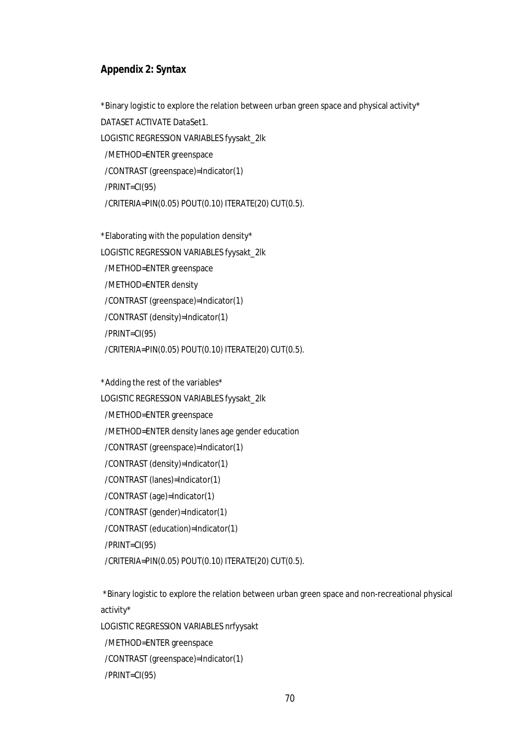#### **Appendix 2: Syntax**

\*Binary logistic to explore the relation between urban green space and physical activity\* DATASET ACTIVATE DataSet1. LOGISTIC REGRESSION VARIABLES fyysakt\_2lk /METHOD=ENTER greenspace /CONTRAST (greenspace)=Indicator(1) /PRINT=CI(95) /CRITERIA=PIN(0.05) POUT(0.10) ITERATE(20) CUT(0.5).

\*Elaborating with the population density\* LOGISTIC REGRESSION VARIABLES fyysakt\_2lk /METHOD=ENTER greenspace /METHOD=ENTER density /CONTRAST (greenspace)=Indicator(1) /CONTRAST (density)=Indicator(1) /PRINT=CI(95) /CRITERIA=PIN(0.05) POUT(0.10) ITERATE(20) CUT(0.5).

\*Adding the rest of the variables\*

LOGISTIC REGRESSION VARIABLES fyysakt\_2lk /METHOD=ENTER greenspace /METHOD=ENTER density lanes age gender education /CONTRAST (greenspace)=Indicator(1) /CONTRAST (density)=Indicator(1) /CONTRAST (lanes)=Indicator(1) /CONTRAST (age)=Indicator(1) /CONTRAST (gender)=Indicator(1) /CONTRAST (education)=Indicator(1) /PRINT=CI(95) /CRITERIA=PIN(0.05) POUT(0.10) ITERATE(20) CUT(0.5).

\*Binary logistic to explore the relation between urban green space and non-recreational physical activity\*

LOGISTIC REGRESSION VARIABLES nrfyysakt

 /METHOD=ENTER greenspace /CONTRAST (greenspace)=Indicator(1)

/PRINT=CI(95)